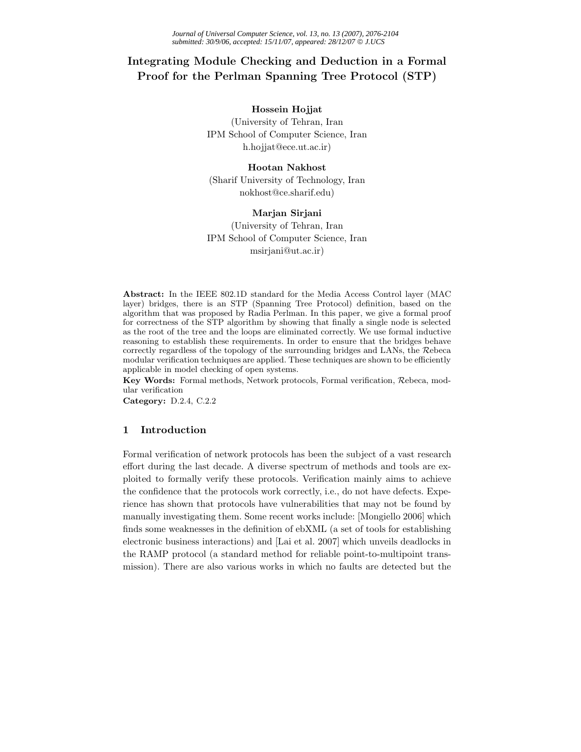# **Integrating Module Checking and Deduction in a Formal Proof for the Perlman Spanning Tree Protocol (STP)**

## **Hossein Hojjat**

(University of Tehran, Iran IPM School of Computer Science, Iran h.hojjat@ece.ut.ac.ir)

# **Hootan Nakhost** (Sharif University of Technology, Iran nokhost@ce.sharif.edu)

# **Marjan Sirjani**

(University of Tehran, Iran IPM School of Computer Science, Iran msirjani@ut.ac.ir)

**Abstract:** In the IEEE 802.1D standard for the Media Access Control layer (MAC layer) bridges, there is an STP (Spanning Tree Protocol) definition, based on the algorithm that was proposed by Radia Perlman. In this paper, we give a formal proof for correctness of the STP algorithm by showing that finally a single node is selected as the root of the tree and the loops are eliminated correctly. We use formal inductive reasoning to establish these requirements. In order to ensure that the bridges behave correctly regardless of the topology of the surrounding bridges and LANs, the Rebeca modular verification techniques are applied. These techniques are shown to be efficiently applicable in model checking of open systems.

**Key Words:** Formal methods, Network protocols, Formal verification, Rebeca, modular verification

**Category:** D.2.4, C.2.2

# **1 Introduction**

Formal verification of network protocols has been the subject of a vast research effort during the last decade. A diverse spectrum of methods and tools are exploited to formally verify these protocols. Verification mainly aims to achieve the confidence that the protocols work correctly, i.e., do not have defects. Experience has shown that protocols have vulnerabilities that may not be found by manually investigating them. Some recent works include: [Mongiello 2006] which finds some weaknesses in the definition of ebXML (a set of tools for establishing electronic business interactions) and [Lai et al. 2007] which unveils deadlocks in the RAMP protocol (a standard method for reliable point-to-multipoint transmission). There are also various works in which no faults are detected but the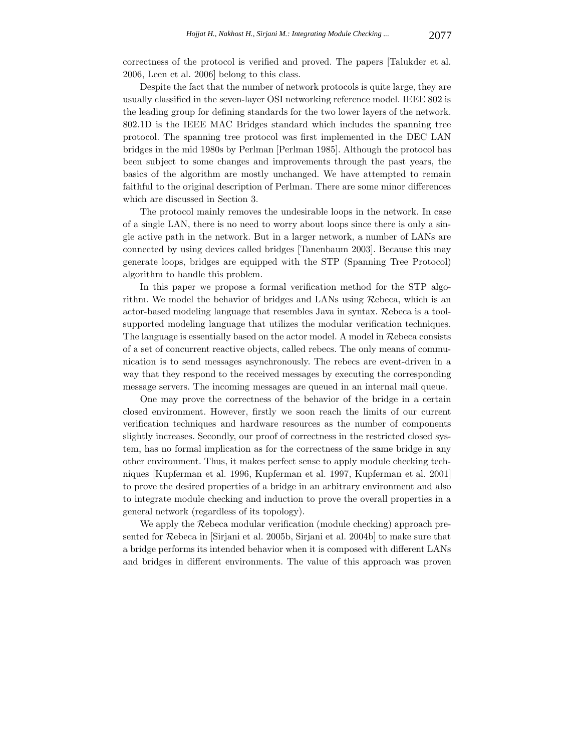correctness of the protocol is verified and proved. The papers [Talukder et al. 2006, Leen et al. 2006] belong to this class.

Despite the fact that the number of network protocols is quite large, they are usually classified in the seven-layer OSI networking reference model. IEEE 802 is the leading group for defining standards for the two lower layers of the network. 802.1D is the IEEE MAC Bridges standard which includes the spanning tree protocol. The spanning tree protocol was first implemented in the DEC LAN bridges in the mid 1980s by Perlman [Perlman 1985]. Although the protocol has been subject to some changes and improvements through the past years, the basics of the algorithm are mostly unchanged. We have attempted to remain faithful to the original description of Perlman. There are some minor differences which are discussed in Section 3.

The protocol mainly removes the undesirable loops in the network. In case of a single LAN, there is no need to worry about loops since there is only a single active path in the network. But in a larger network, a number of LANs are connected by using devices called bridges [Tanenbaum 2003]. Because this may generate loops, bridges are equipped with the STP (Spanning Tree Protocol) algorithm to handle this problem.

In this paper we propose a formal verification method for the STP algorithm. We model the behavior of bridges and LANs using Rebeca, which is an actor-based modeling language that resembles Java in syntax. Rebeca is a toolsupported modeling language that utilizes the modular verification techniques. The language is essentially based on the actor model. A model in Rebeca consists of a set of concurrent reactive objects, called rebecs. The only means of communication is to send messages asynchronously. The rebecs are event-driven in a way that they respond to the received messages by executing the corresponding message servers. The incoming messages are queued in an internal mail queue.

One may prove the correctness of the behavior of the bridge in a certain closed environment. However, firstly we soon reach the limits of our current verification techniques and hardware resources as the number of components slightly increases. Secondly, our proof of correctness in the restricted closed system, has no formal implication as for the correctness of the same bridge in any other environment. Thus, it makes perfect sense to apply module checking techniques [Kupferman et al. 1996, Kupferman et al. 1997, Kupferman et al. 2001] to prove the desired properties of a bridge in an arbitrary environment and also to integrate module checking and induction to prove the overall properties in a general network (regardless of its topology).

We apply the Rebeca modular verification (module checking) approach presented for Rebeca in [Sirjani et al. 2005b, Sirjani et al. 2004b] to make sure that a bridge performs its intended behavior when it is composed with different LANs and bridges in different environments. The value of this approach was proven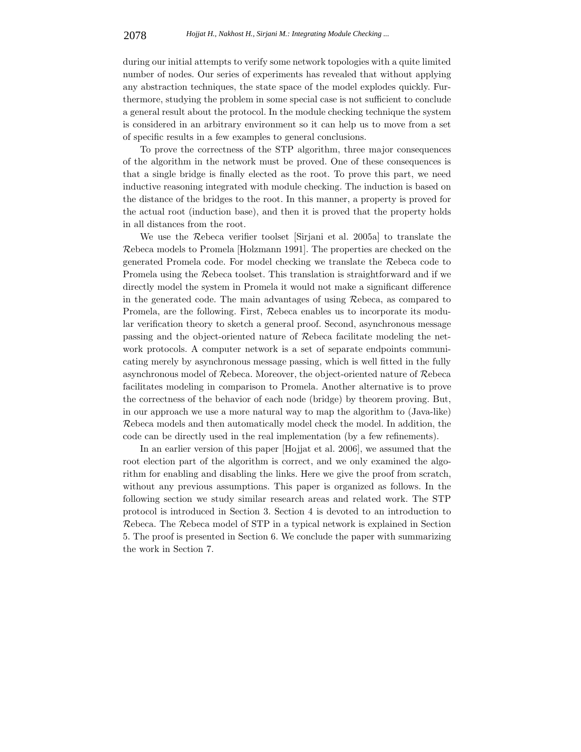during our initial attempts to verify some network topologies with a quite limited number of nodes. Our series of experiments has revealed that without applying any abstraction techniques, the state space of the model explodes quickly. Furthermore, studying the problem in some special case is not sufficient to conclude a general result about the protocol. In the module checking technique the system is considered in an arbitrary environment so it can help us to move from a set of specific results in a few examples to general conclusions.

To prove the correctness of the STP algorithm, three major consequences of the algorithm in the network must be proved. One of these consequences is that a single bridge is finally elected as the root. To prove this part, we need inductive reasoning integrated with module checking. The induction is based on the distance of the bridges to the root. In this manner, a property is proved for the actual root (induction base), and then it is proved that the property holds in all distances from the root.

We use the Rebeca verifier toolset [Sirjani et al. 2005a] to translate the Rebeca models to Promela [Holzmann 1991]. The properties are checked on the generated Promela code. For model checking we translate the Rebeca code to Promela using the Rebeca toolset. This translation is straightforward and if we directly model the system in Promela it would not make a significant difference in the generated code. The main advantages of using Rebeca, as compared to Promela, are the following. First, Rebeca enables us to incorporate its modular verification theory to sketch a general proof. Second, asynchronous message passing and the object-oriented nature of Rebeca facilitate modeling the network protocols. A computer network is a set of separate endpoints communicating merely by asynchronous message passing, which is well fitted in the fully asynchronous model of Rebeca. Moreover, the object-oriented nature of Rebeca facilitates modeling in comparison to Promela. Another alternative is to prove the correctness of the behavior of each node (bridge) by theorem proving. But, in our approach we use a more natural way to map the algorithm to (Java-like) Rebeca models and then automatically model check the model. In addition, the code can be directly used in the real implementation (by a few refinements).

In an earlier version of this paper [Hojjat et al. 2006], we assumed that the root election part of the algorithm is correct, and we only examined the algorithm for enabling and disabling the links. Here we give the proof from scratch, without any previous assumptions. This paper is organized as follows. In the following section we study similar research areas and related work. The STP protocol is introduced in Section 3. Section 4 is devoted to an introduction to Rebeca. The Rebeca model of STP in a typical network is explained in Section 5. The proof is presented in Section 6. We conclude the paper with summarizing the work in Section 7.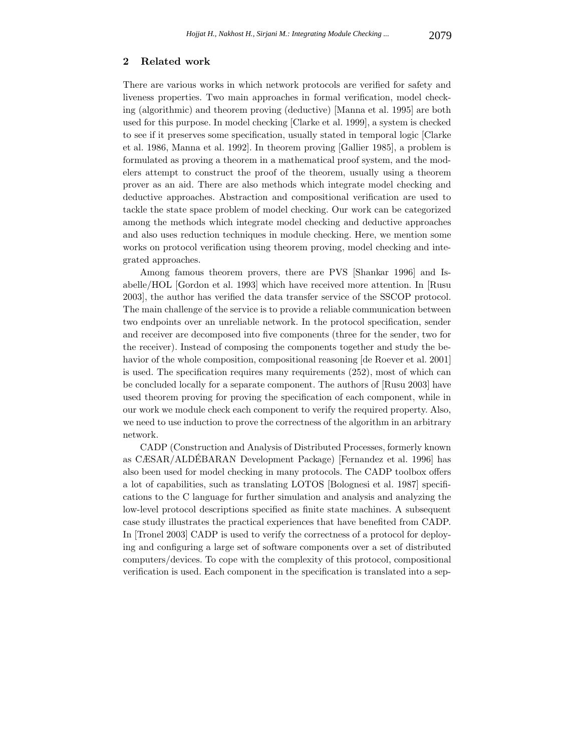# **2 Related work**

There are various works in which network protocols are verified for safety and liveness properties. Two main approaches in formal verification, model checking (algorithmic) and theorem proving (deductive) [Manna et al. 1995] are both used for this purpose. In model checking [Clarke et al. 1999], a system is checked to see if it preserves some specification, usually stated in temporal logic [Clarke et al. 1986, Manna et al. 1992]. In theorem proving [Gallier 1985], a problem is formulated as proving a theorem in a mathematical proof system, and the modelers attempt to construct the proof of the theorem, usually using a theorem prover as an aid. There are also methods which integrate model checking and deductive approaches. Abstraction and compositional verification are used to tackle the state space problem of model checking. Our work can be categorized among the methods which integrate model checking and deductive approaches and also uses reduction techniques in module checking. Here, we mention some works on protocol verification using theorem proving, model checking and integrated approaches.

Among famous theorem provers, there are PVS [Shankar 1996] and Isabelle/HOL [Gordon et al. 1993] which have received more attention. In [Rusu 2003], the author has verified the data transfer service of the SSCOP protocol. The main challenge of the service is to provide a reliable communication between two endpoints over an unreliable network. In the protocol specification, sender and receiver are decomposed into five components (three for the sender, two for the receiver). Instead of composing the components together and study the behavior of the whole composition, compositional reasoning [de Roever et al. 2001] is used. The specification requires many requirements (252), most of which can be concluded locally for a separate component. The authors of [Rusu 2003] have used theorem proving for proving the specification of each component, while in our work we module check each component to verify the required property. Also, we need to use induction to prove the correctness of the algorithm in an arbitrary network.

CADP (Construction and Analysis of Distributed Processes, formerly known as CÆSAR/ALDEBARAN Development Package) [Fernandez et al. 1996] has ´ also been used for model checking in many protocols. The CADP toolbox offers a lot of capabilities, such as translating LOTOS [Bolognesi et al. 1987] specifications to the C language for further simulation and analysis and analyzing the low-level protocol descriptions specified as finite state machines. A subsequent case study illustrates the practical experiences that have benefited from CADP. In [Tronel 2003] CADP is used to verify the correctness of a protocol for deploying and configuring a large set of software components over a set of distributed computers/devices. To cope with the complexity of this protocol, compositional verification is used. Each component in the specification is translated into a sep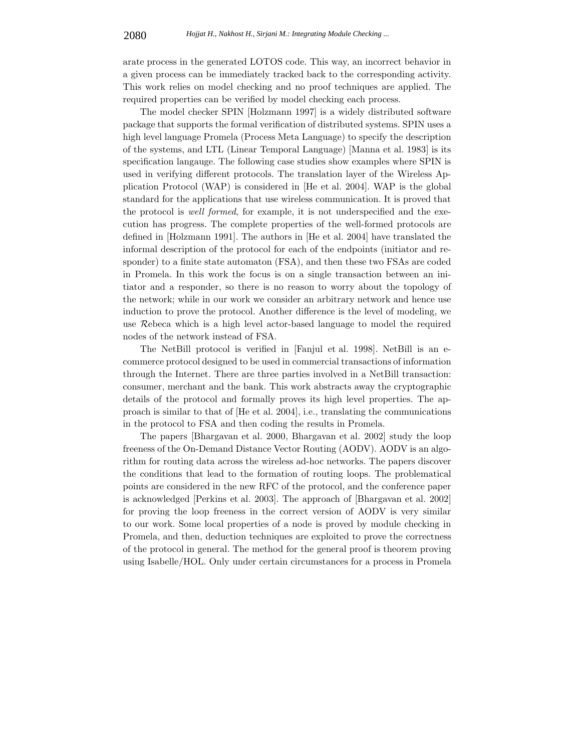arate process in the generated LOTOS code. This way, an incorrect behavior in a given process can be immediately tracked back to the corresponding activity. This work relies on model checking and no proof techniques are applied. The required properties can be verified by model checking each process.

The model checker SPIN [Holzmann 1997] is a widely distributed software package that supports the formal verification of distributed systems. SPIN uses a high level language Promela (Process Meta Language) to specify the description of the systems, and LTL (Linear Temporal Language) [Manna et al. 1983] is its specification langauge. The following case studies show examples where SPIN is used in verifying different protocols. The translation layer of the Wireless Application Protocol (WAP) is considered in [He et al. 2004]. WAP is the global standard for the applications that use wireless communication. It is proved that the protocol is *well formed*, for example, it is not underspecified and the execution has progress. The complete properties of the well-formed protocols are defined in [Holzmann 1991]. The authors in [He et al. 2004] have translated the informal description of the protocol for each of the endpoints (initiator and responder) to a finite state automaton (FSA), and then these two FSAs are coded in Promela. In this work the focus is on a single transaction between an initiator and a responder, so there is no reason to worry about the topology of the network; while in our work we consider an arbitrary network and hence use induction to prove the protocol. Another difference is the level of modeling, we use Rebeca which is a high level actor-based language to model the required nodes of the network instead of FSA.

The NetBill protocol is verified in [Fanjul et al. 1998]. NetBill is an ecommerce protocol designed to be used in commercial transactions of information through the Internet. There are three parties involved in a NetBill transaction: consumer, merchant and the bank. This work abstracts away the cryptographic details of the protocol and formally proves its high level properties. The approach is similar to that of [He et al. 2004], i.e., translating the communications in the protocol to FSA and then coding the results in Promela.

The papers [Bhargavan et al. 2000, Bhargavan et al. 2002] study the loop freeness of the On-Demand Distance Vector Routing (AODV). AODV is an algorithm for routing data across the wireless ad-hoc networks. The papers discover the conditions that lead to the formation of routing loops. The problematical points are considered in the new RFC of the protocol, and the conference paper is acknowledged [Perkins et al. 2003]. The approach of [Bhargavan et al. 2002] for proving the loop freeness in the correct version of AODV is very similar to our work. Some local properties of a node is proved by module checking in Promela, and then, deduction techniques are exploited to prove the correctness of the protocol in general. The method for the general proof is theorem proving using Isabelle/HOL. Only under certain circumstances for a process in Promela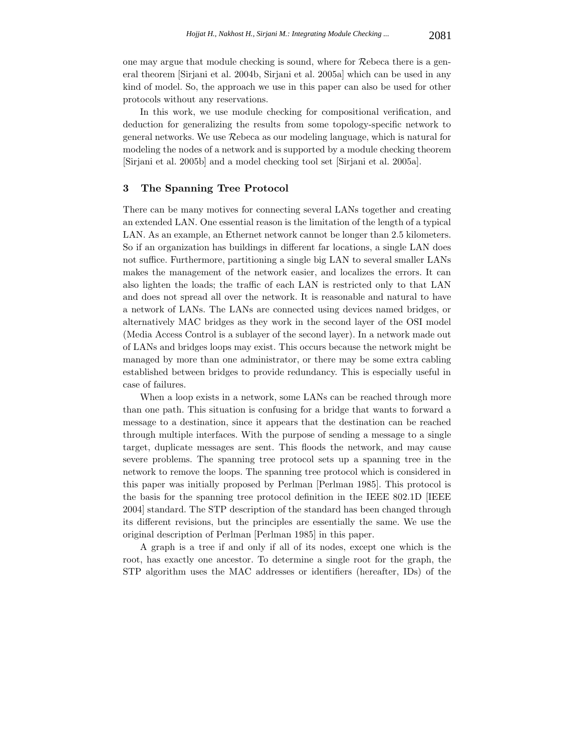one may argue that module checking is sound, where for Rebeca there is a general theorem [Sirjani et al. 2004b, Sirjani et al. 2005a] which can be used in any kind of model. So, the approach we use in this paper can also be used for other protocols without any reservations.

In this work, we use module checking for compositional verification, and deduction for generalizing the results from some topology-specific network to general networks. We use Rebeca as our modeling language, which is natural for modeling the nodes of a network and is supported by a module checking theorem [Sirjani et al. 2005b] and a model checking tool set [Sirjani et al. 2005a].

# **3 The Spanning Tree Protocol**

There can be many motives for connecting several LANs together and creating an extended LAN. One essential reason is the limitation of the length of a typical LAN. As an example, an Ethernet network cannot be longer than 2.5 kilometers. So if an organization has buildings in different far locations, a single LAN does not suffice. Furthermore, partitioning a single big LAN to several smaller LANs makes the management of the network easier, and localizes the errors. It can also lighten the loads; the traffic of each LAN is restricted only to that LAN and does not spread all over the network. It is reasonable and natural to have a network of LANs. The LANs are connected using devices named bridges, or alternatively MAC bridges as they work in the second layer of the OSI model (Media Access Control is a sublayer of the second layer). In a network made out of LANs and bridges loops may exist. This occurs because the network might be managed by more than one administrator, or there may be some extra cabling established between bridges to provide redundancy. This is especially useful in case of failures.

When a loop exists in a network, some LANs can be reached through more than one path. This situation is confusing for a bridge that wants to forward a message to a destination, since it appears that the destination can be reached through multiple interfaces. With the purpose of sending a message to a single target, duplicate messages are sent. This floods the network, and may cause severe problems. The spanning tree protocol sets up a spanning tree in the network to remove the loops. The spanning tree protocol which is considered in this paper was initially proposed by Perlman [Perlman 1985]. This protocol is the basis for the spanning tree protocol definition in the IEEE 802.1D [IEEE 2004] standard. The STP description of the standard has been changed through its different revisions, but the principles are essentially the same. We use the original description of Perlman [Perlman 1985] in this paper.

A graph is a tree if and only if all of its nodes, except one which is the root, has exactly one ancestor. To determine a single root for the graph, the STP algorithm uses the MAC addresses or identifiers (hereafter, IDs) of the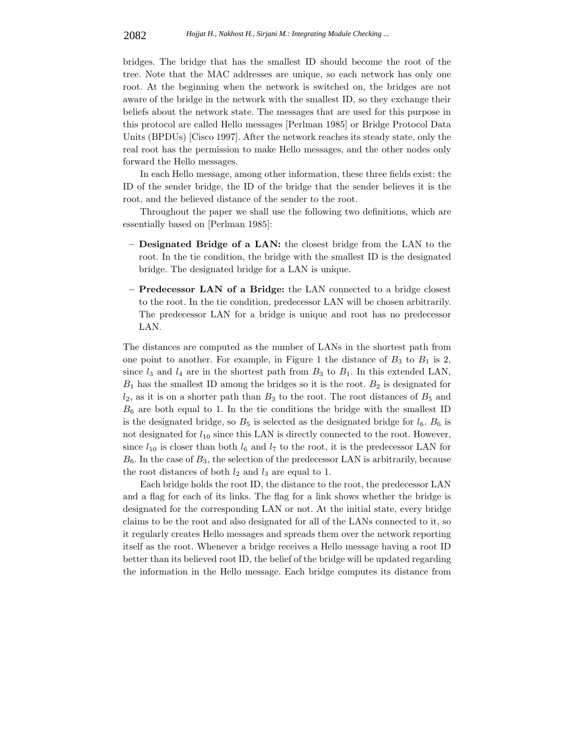bridges. The bridge that has the smallest ID should become the root of the tree. Note that the MAC addresses are unique, so each network has only one root. At the beginning when the network is switched on, the bridges are not aware of the bridge in the network with the smallest ID, so they exchange their beliefs about the network state. The messages that are used for this purpose in this protocol are called Hello messages [Perlman 1985] or Bridge Protocol Data Units (BPDUs) [Cisco 1997]. After the network reaches its steady state, only the real root has the permission to make Hello messages, and the other nodes only forward the Hello messages.

In each Hello message, among other information, these three fields exist: the ID of the sender bridge, the ID of the bridge that the sender believes it is the root, and the believed distance of the sender to the root.

Throughout the paper we shall use the following two definitions, which are essentially based on [Perlman 1985]:

- **Designated Bridge of a LAN:** the closest bridge from the LAN to the root. In the tie condition, the bridge with the smallest ID is the designated bridge. The designated bridge for a LAN is unique.
- **Predecessor LAN of a Bridge:** the LAN connected to a bridge closest to the root. In the tie condition, predecessor LAN will be chosen arbitrarily. The predecessor LAN for a bridge is unique and root has no predecessor LAN.

The distances are computed as the number of LANs in the shortest path from one point to another. For example, in Figure 1 the distance of  $B_3$  to  $B_1$  is 2, since  $l_3$  and  $l_4$  are in the shortest path from  $B_3$  to  $B_1$ . In this extended LAN,  $B_1$  has the smallest ID among the bridges so it is the root.  $B_2$  is designated for  $l_2$ , as it is on a shorter path than  $B_3$  to the root. The root distances of  $B_5$  and  $B_6$  are both equal to 1. In the tie conditions the bridge with the smallest ID is the designated bridge, so  $B_5$  is selected as the designated bridge for  $l_6$ .  $B_6$  is not designated for  $l_{10}$  since this LAN is directly connected to the root. However, since  $l_{10}$  is closer than both  $l_6$  and  $l_7$  to the root, it is the predecessor LAN for  $B_6$ . In the case of  $B_3$ , the selection of the predecessor LAN is arbitrarily, because the root distances of both  $l_2$  and  $l_3$  are equal to 1.

Each bridge holds the root ID, the distance to the root, the predecessor LAN and a flag for each of its links. The flag for a link shows whether the bridge is designated for the corresponding LAN or not. At the initial state, every bridge claims to be the root and also designated for all of the LANs connected to it, so it regularly creates Hello messages and spreads them over the network reporting itself as the root. Whenever a bridge receives a Hello message having a root ID better than its believed root ID, the belief of the bridge will be updated regarding the information in the Hello message. Each bridge computes its distance from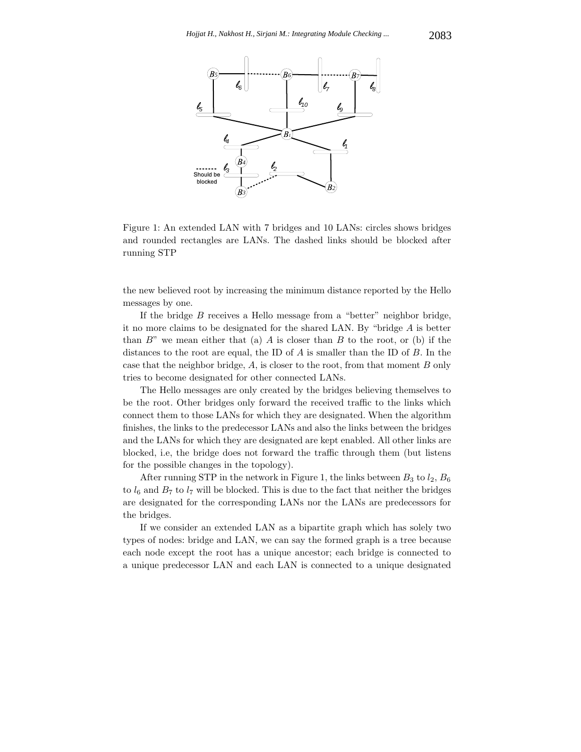

Figure 1: An extended LAN with 7 bridges and 10 LANs: circles shows bridges and rounded rectangles are LANs. The dashed links should be blocked after running STP

the new believed root by increasing the minimum distance reported by the Hello messages by one.

If the bridge  $B$  receives a Hello message from a "better" neighbor bridge, it no more claims to be designated for the shared LAN. By "bridge A is better than  $B$ " we mean either that (a) A is closer than B to the root, or (b) if the distances to the root are equal, the ID of  $A$  is smaller than the ID of  $B$ . In the case that the neighbor bridge,  $A$ , is closer to the root, from that moment  $B$  only tries to become designated for other connected LANs.

The Hello messages are only created by the bridges believing themselves to be the root. Other bridges only forward the received traffic to the links which connect them to those LANs for which they are designated. When the algorithm finishes, the links to the predecessor LANs and also the links between the bridges and the LANs for which they are designated are kept enabled. All other links are blocked, i.e, the bridge does not forward the traffic through them (but listens for the possible changes in the topology).

After running STP in the network in Figure 1, the links between  $B_3$  to  $l_2$ ,  $B_6$ to  $l_6$  and  $B_7$  to  $l_7$  will be blocked. This is due to the fact that neither the bridges are designated for the corresponding LANs nor the LANs are predecessors for the bridges.

If we consider an extended LAN as a bipartite graph which has solely two types of nodes: bridge and LAN, we can say the formed graph is a tree because each node except the root has a unique ancestor; each bridge is connected to a unique predecessor LAN and each LAN is connected to a unique designated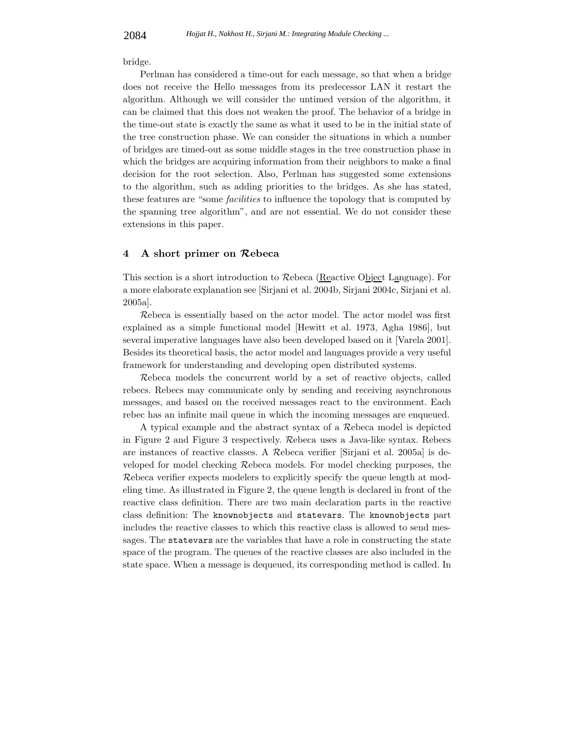bridge.

Perlman has considered a time-out for each message, so that when a bridge does not receive the Hello messages from its predecessor LAN it restart the algorithm. Although we will consider the untimed version of the algorithm, it can be claimed that this does not weaken the proof. The behavior of a bridge in the time-out state is exactly the same as what it used to be in the initial state of the tree construction phase. We can consider the situations in which a number of bridges are timed-out as some middle stages in the tree construction phase in which the bridges are acquiring information from their neighbors to make a final decision for the root selection. Also, Perlman has suggested some extensions to the algorithm, such as adding priorities to the bridges. As she has stated, these features are "some *facilities* to influence the topology that is computed by the spanning tree algorithm", and are not essential. We do not consider these extensions in this paper.

### **4 A short primer on** *R***ebeca**

This section is a short introduction to Rebeca (Reactive Object Language). For a more elaborate explanation see [Sirjani et al. 2004b, Sirjani 2004c, Sirjani et al. 2005a].

Rebeca is essentially based on the actor model. The actor model was first explained as a simple functional model [Hewitt et al. 1973, Agha 1986], but several imperative languages have also been developed based on it [Varela 2001]. Besides its theoretical basis, the actor model and languages provide a very useful framework for understanding and developing open distributed systems.

Rebeca models the concurrent world by a set of reactive objects, called rebecs. Rebecs may communicate only by sending and receiving asynchronous messages, and based on the received messages react to the environment. Each rebec has an infinite mail queue in which the incoming messages are enqueued.

A typical example and the abstract syntax of a Rebeca model is depicted in Figure 2 and Figure 3 respectively. Rebeca uses a Java-like syntax. Rebecs are instances of reactive classes. A Rebeca verifier [Sirjani et al. 2005a] is developed for model checking Rebeca models. For model checking purposes, the Rebeca verifier expects modelers to explicitly specify the queue length at modeling time. As illustrated in Figure 2, the queue length is declared in front of the reactive class definition. There are two main declaration parts in the reactive class definition: The knownobjects and statevars. The knownobjects part includes the reactive classes to which this reactive class is allowed to send messages. The statevars are the variables that have a role in constructing the state space of the program. The queues of the reactive classes are also included in the state space. When a message is dequeued, its corresponding method is called. In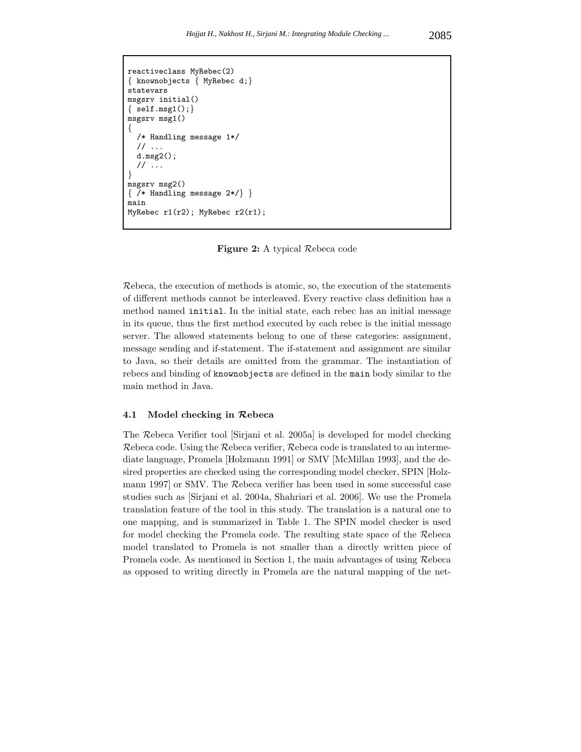```
reactiveclass MyRebec(2)
{ knownobjects { MyRebec d;}
statevars
msgsrv initial()
{ \} self.msg1();}msgsrv msg1()
{
  /* Handling message 1*/
  // ...
  d.msg2();
  // ...
}
msgsrv msg2()
\{ /* Handling message 2*/} }
main
MyRebec r1(r2); MyRebec r2(r1);
```
**Figure 2:** A typical Rebeca code

Rebeca, the execution of methods is atomic, so, the execution of the statements of different methods cannot be interleaved. Every reactive class definition has a method named initial. In the initial state, each rebec has an initial message in its queue, thus the first method executed by each rebec is the initial message server. The allowed statements belong to one of these categories: assignment, message sending and if-statement. The if-statement and assignment are similar to Java, so their details are omitted from the grammar. The instantiation of rebecs and binding of knownobjects are defined in the main body similar to the main method in Java.

#### **4.1 Model checking in** *R***ebeca**

The Rebeca Verifier tool [Sirjani et al. 2005a] is developed for model checking Rebeca code. Using the Rebeca verifier, Rebeca code is translated to an intermediate language, Promela [Holzmann 1991] or SMV [McMillan 1993], and the desired properties are checked using the corresponding model checker, SPIN [Holzmann 1997] or SMV. The Rebeca verifier has been used in some successful case studies such as [Sirjani et al. 2004a, Shahriari et al. 2006]. We use the Promela translation feature of the tool in this study. The translation is a natural one to one mapping, and is summarized in Table 1. The SPIN model checker is used for model checking the Promela code. The resulting state space of the Rebeca model translated to Promela is not smaller than a directly written piece of Promela code. As mentioned in Section 1, the main advantages of using Rebeca as opposed to writing directly in Promela are the natural mapping of the net-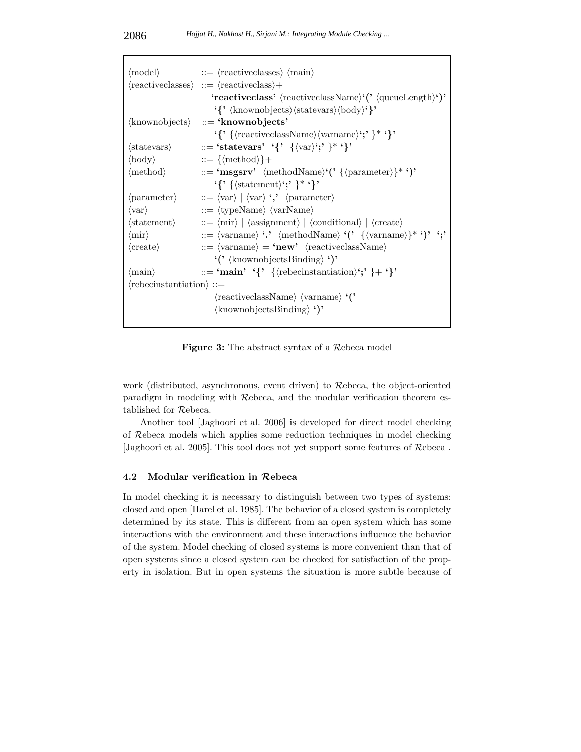| $\langle \text{model} \rangle$             | $\mathcal{L} = \langle \text{reactiveclasses} \rangle \langle \text{main} \rangle$                                                                                                                                                                                                                                                                                                                                                                                                                                                     |
|--------------------------------------------|----------------------------------------------------------------------------------------------------------------------------------------------------------------------------------------------------------------------------------------------------------------------------------------------------------------------------------------------------------------------------------------------------------------------------------------------------------------------------------------------------------------------------------------|
|                                            | $\langle \text{reactiveclasses} \rangle ::= \langle \text{reactiveclass} \rangle +$                                                                                                                                                                                                                                                                                                                                                                                                                                                    |
|                                            | 'reactiveclass' $\langle$ reactiveclassName $\rangle$ ' $($ ' $\langle$ queueLength $\rangle$ ' $)$ '                                                                                                                                                                                                                                                                                                                                                                                                                                  |
|                                            | $\{\}'$ (knownobjects) $\langle \text{stackvars} \rangle \langle \text{body} \rangle \$                                                                                                                                                                                                                                                                                                                                                                                                                                                |
|                                            | $\langle$ knownobjects $\rangle$ ::= 'knownobjects'                                                                                                                                                                                                                                                                                                                                                                                                                                                                                    |
|                                            | $\{\}'$ { $\{\langle \text{reactiveclassName} \rangle \langle \text{varname} \rangle \colon \}'$ }* $\}'$                                                                                                                                                                                                                                                                                                                                                                                                                              |
| $\langle \text{stateurs} \rangle$          | $ ::=$ 'statevars' '{' $\{ \langle var \rangle' ; \}$ *'}'                                                                                                                                                                                                                                                                                                                                                                                                                                                                             |
| $\langle \text{body} \rangle$              | $ ::= \{ \langle \text{method} \rangle \} +$                                                                                                                                                                                                                                                                                                                                                                                                                                                                                           |
| $\langle \text{method} \rangle$            | $ ::= \{ \text{msgsrv'} \ \langle \text{methodName} \rangle (\text{? } \{\langle \text{parameter} \rangle\}^* \cdot) \}$                                                                                                                                                                                                                                                                                                                                                                                                               |
|                                            | $\{\langle\text{statement}\rangle\colon\}^*\}$                                                                                                                                                                                                                                                                                                                                                                                                                                                                                         |
| $\langle$ parameter $\rangle$              | $\mathsf{I} := \langle \text{var} \rangle \mid \langle \text{var} \rangle$ $\langle \cdot, \cdot \rangle$ $\langle \text{parameter} \rangle$                                                                                                                                                                                                                                                                                                                                                                                           |
| $\langle var \rangle$                      | $ ::= \langle typeName \rangle \langle varName \rangle$                                                                                                                                                                                                                                                                                                                                                                                                                                                                                |
| $\langle statement \rangle$                | $\Rightarrow$ $\langle \text{mir} \rangle \mid \langle \text{assignment} \rangle \mid \langle \text{conditional} \rangle \mid \langle \text{create} \rangle$                                                                                                                                                                                                                                                                                                                                                                           |
| $\langle \text{mir} \rangle$               | $\mathcal{L} := \langle \text{varname} \rangle \cdot \mathcal{L} \text{ methodName} \rangle \cdot (\mathcal{L} \{ \langle \text{varname} \rangle \}^* \cdot \mathcal{L} \cdot \mathcal{L} \cdot \mathcal{L} \cdot \mathcal{L} \cdot \mathcal{L} \cdot \mathcal{L} \cdot \mathcal{L} \cdot \mathcal{L} \cdot \mathcal{L} \cdot \mathcal{L} \cdot \mathcal{L} \cdot \mathcal{L} \cdot \mathcal{L} \cdot \mathcal{L} \cdot \mathcal{L} \cdot \mathcal{L} \cdot \mathcal{L} \cdot \mathcal{L} \cdot \mathcal{L} \cdot \mathcal{L} \cdot \$ |
| $\langle \text{create} \rangle$            | $ ::= \langle \text{varname} \rangle = \text{'new'} \langle \text{reactiveclassName} \rangle$                                                                                                                                                                                                                                                                                                                                                                                                                                          |
|                                            | $\langle$ (' $\langle$ knownobjects Binding $\rangle$ ')'                                                                                                                                                                                                                                                                                                                                                                                                                                                                              |
| $\langle \text{main} \rangle$              | ::= 'main' '{' { $\langle$ rebecinstantiation)';' }+'}'                                                                                                                                                                                                                                                                                                                                                                                                                                                                                |
| $\langle$ rebecinstantiation $\rangle$ ::= |                                                                                                                                                                                                                                                                                                                                                                                                                                                                                                                                        |
|                                            | $\langle$ reactiveclassName $\rangle$ $\langle$ varname $\rangle$ $\langle$ <sup>*</sup> $\rangle$                                                                                                                                                                                                                                                                                                                                                                                                                                     |
|                                            | $\langle$ knownobjectsBinding $\rangle$ ')'                                                                                                                                                                                                                                                                                                                                                                                                                                                                                            |
|                                            |                                                                                                                                                                                                                                                                                                                                                                                                                                                                                                                                        |

**Figure 3:** The abstract syntax of a Rebeca model

work (distributed, asynchronous, event driven) to Rebeca, the object-oriented paradigm in modeling with Rebeca, and the modular verification theorem established for Rebeca.

Another tool [Jaghoori et al. 2006] is developed for direct model checking of Rebeca models which applies some reduction techniques in model checking [Jaghoori et al. 2005]. This tool does not yet support some features of Rebeca .

# **4.2 Modular verification in** *R***ebeca**

In model checking it is necessary to distinguish between two types of systems: closed and open [Harel et al. 1985]. The behavior of a closed system is completely determined by its state. This is different from an open system which has some interactions with the environment and these interactions influence the behavior of the system. Model checking of closed systems is more convenient than that of open systems since a closed system can be checked for satisfaction of the property in isolation. But in open systems the situation is more subtle because of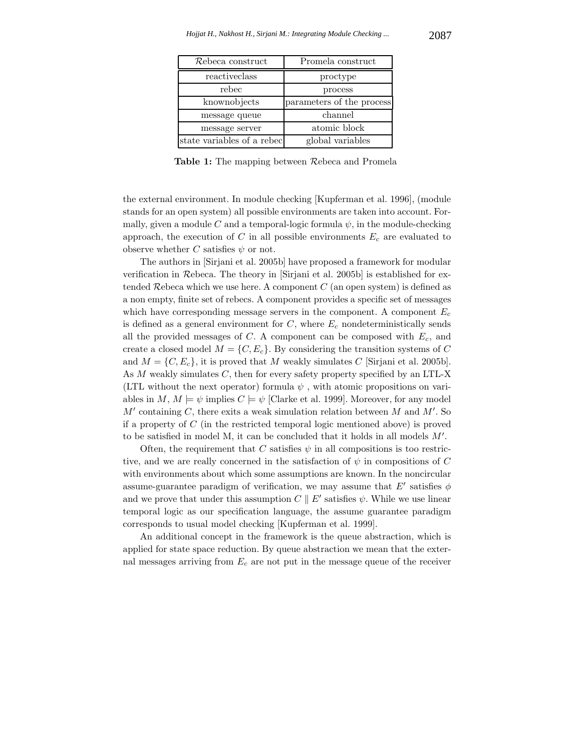| Rebeca construct           | Promela construct         |
|----------------------------|---------------------------|
| reactiveclass              | proctype                  |
| rebec                      | process                   |
| knownobjects               | parameters of the process |
| message queue              | channel                   |
| message server             | atomic block              |
| state variables of a rebec | global variables          |

**Table 1:** The mapping between Rebeca and Promela

the external environment. In module checking [Kupferman et al. 1996], (module stands for an open system) all possible environments are taken into account. Formally, given a module C and a temporal-logic formula  $\psi$ , in the module-checking approach, the execution of  $C$  in all possible environments  $E_c$  are evaluated to observe whether C satisfies  $\psi$  or not.

The authors in [Sirjani et al. 2005b] have proposed a framework for modular verification in Rebeca. The theory in [Sirjani et al. 2005b] is established for extended  $\mathcal R$ ebeca which we use here. A component  $C$  (an open system) is defined as a non empty, finite set of rebecs. A component provides a specific set of messages which have corresponding message servers in the component. A component E*<sup>c</sup>* is defined as a general environment for  $C$ , where  $E_c$  nondeterministically sends all the provided messages of C. A component can be composed with E*c*, and create a closed model  $M = \{C, E_c\}$ . By considering the transition systems of C and  $M = \{C, E_c\}$ , it is proved that M weakly simulates C [Sirjani et al. 2005b]. As M weakly simulates C, then for every safety property specified by an LTL-X (LTL without the next operator) formula  $\psi$ , with atomic propositions on variables in  $M, M \models \psi$  implies  $C \models \psi$  [Clarke et al. 1999]. Moreover, for any model  $M'$  containing C, there exits a weak simulation relation between  $M$  and  $M'$ . So if a property of  $C$  (in the restricted temporal logic mentioned above) is proved to be satisfied in model M, it can be concluded that it holds in all models  $M'$ .

Often, the requirement that C satisfies  $\psi$  in all compositions is too restrictive, and we are really concerned in the satisfaction of  $\psi$  in compositions of C with environments about which some assumptions are known. In the noncircular assume-guarantee paradigm of verification, we may assume that  $E'$  satisfies  $\phi$ and we prove that under this assumption  $C \parallel E'$  satisfies  $\psi$ . While we use linear temporal logic as our specification language, the assume guarantee paradigm corresponds to usual model checking [Kupferman et al. 1999].

An additional concept in the framework is the queue abstraction, which is applied for state space reduction. By queue abstraction we mean that the external messages arriving from E*<sup>c</sup>* are not put in the message queue of the receiver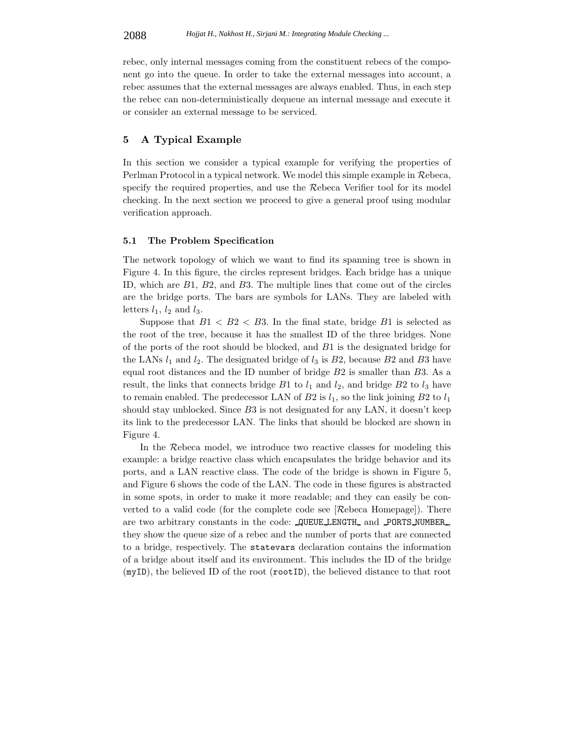rebec, only internal messages coming from the constituent rebecs of the component go into the queue. In order to take the external messages into account, a rebec assumes that the external messages are always enabled. Thus, in each step the rebec can non-deterministically dequeue an internal message and execute it or consider an external message to be serviced.

# **5 A Typical Example**

In this section we consider a typical example for verifying the properties of Perlman Protocol in a typical network. We model this simple example in Rebeca, specify the required properties, and use the Rebeca Verifier tool for its model checking. In the next section we proceed to give a general proof using modular verification approach.

### **5.1 The Problem Specification**

The network topology of which we want to find its spanning tree is shown in Figure 4. In this figure, the circles represent bridges. Each bridge has a unique ID, which are B1, B2, and B3. The multiple lines that come out of the circles are the bridge ports. The bars are symbols for LANs. They are labeled with letters  $l_1$ ,  $l_2$  and  $l_3$ .

Suppose that  $B1 < B2 < B3$ . In the final state, bridge  $B1$  is selected as the root of the tree, because it has the smallest ID of the three bridges. None of the ports of the root should be blocked, and  $B1$  is the designated bridge for the LANs  $l_1$  and  $l_2$ . The designated bridge of  $l_3$  is  $B2$ , because  $B2$  and  $B3$  have equal root distances and the ID number of bridge  $B2$  is smaller than  $B3$ . As a result, the links that connects bridge  $B1$  to  $l_1$  and  $l_2$ , and bridge  $B2$  to  $l_3$  have to remain enabled. The predecessor LAN of  $B2$  is  $l_1$ , so the link joining  $B2$  to  $l_1$ should stay unblocked. Since B3 is not designated for any LAN, it doesn't keep its link to the predecessor LAN. The links that should be blocked are shown in Figure 4.

In the Rebeca model, we introduce two reactive classes for modeling this example: a bridge reactive class which encapsulates the bridge behavior and its ports, and a LAN reactive class. The code of the bridge is shown in Figure 5, and Figure 6 shows the code of the LAN. The code in these figures is abstracted in some spots, in order to make it more readable; and they can easily be converted to a valid code (for the complete code see [Rebeca Homepage]). There are two arbitrary constants in the code: **QUEUE LENGTH** and **PORTS NUMBER**, they show the queue size of a rebec and the number of ports that are connected to a bridge, respectively. The statevars declaration contains the information of a bridge about itself and its environment. This includes the ID of the bridge (myID), the believed ID of the root (rootID), the believed distance to that root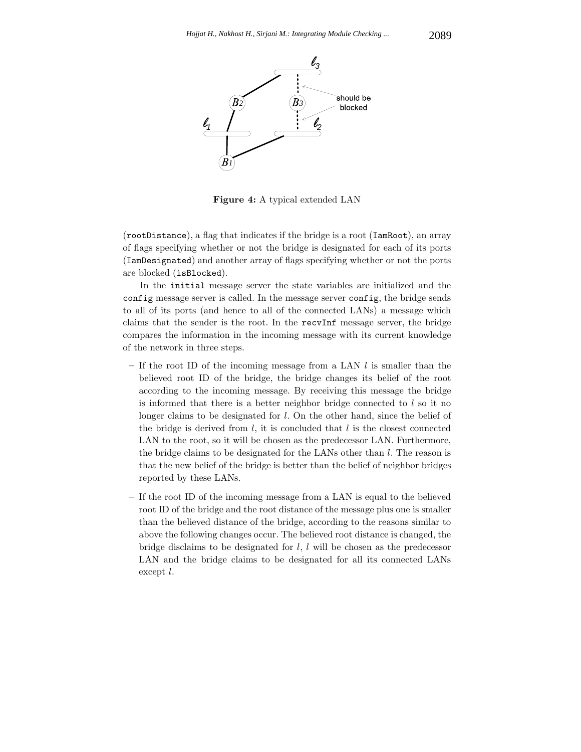

**Figure 4:** A typical extended LAN

(rootDistance), a flag that indicates if the bridge is a root (IamRoot), an array of flags specifying whether or not the bridge is designated for each of its ports (IamDesignated) and another array of flags specifying whether or not the ports are blocked (isBlocked).

In the initial message server the state variables are initialized and the config message server is called. In the message server config, the bridge sends to all of its ports (and hence to all of the connected LANs) a message which claims that the sender is the root. In the recvInf message server, the bridge compares the information in the incoming message with its current knowledge of the network in three steps.

- **–** If the root ID of the incoming message from a LAN l is smaller than the believed root ID of the bridge, the bridge changes its belief of the root according to the incoming message. By receiving this message the bridge is informed that there is a better neighbor bridge connected to  $l$  so it no longer claims to be designated for l. On the other hand, since the belief of the bridge is derived from  $l$ , it is concluded that  $l$  is the closest connected LAN to the root, so it will be chosen as the predecessor LAN. Furthermore, the bridge claims to be designated for the LANs other than  $l$ . The reason is that the new belief of the bridge is better than the belief of neighbor bridges reported by these LANs.
- **–** If the root ID of the incoming message from a LAN is equal to the believed root ID of the bridge and the root distance of the message plus one is smaller than the believed distance of the bridge, according to the reasons similar to above the following changes occur. The believed root distance is changed, the bridge disclaims to be designated for  $l, l$  will be chosen as the predecessor LAN and the bridge claims to be designated for all its connected LANs except l.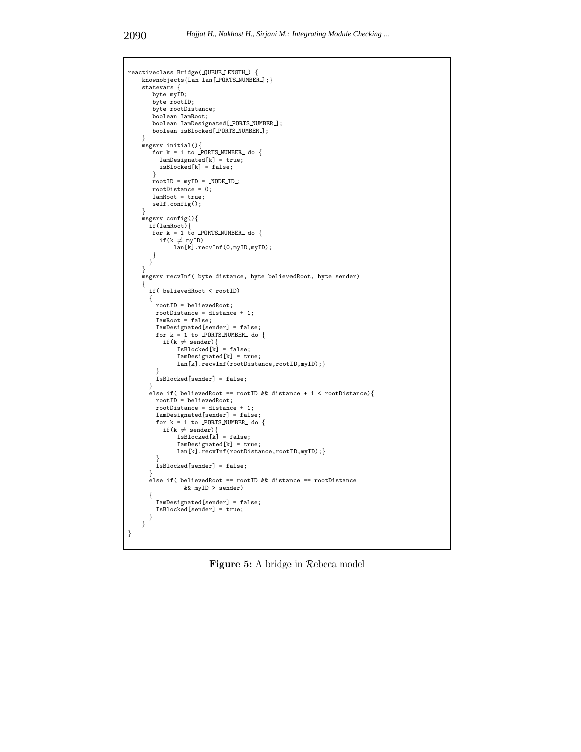```
reactiveclass Bridge( QUEUE LENGTH ) {
    knownobjects{Lan lan[ PORTS NUMBER ];}
    statevars {
       byte myID;
       byte rootID;
       byte rootDistance;
       boolean IamRoot;
        boolean IamDesignated[ PORTS NUMBER ];
boolean isBlocked[ PORTS NUMBER ];
    }
msgsrv initial(){
       for k = 1 to PORTS NUMBER do {
         IamDesignated[k] = true;
         isBlocked[k] = false;
        }
rootID = myID = NODE ID ;
       rootDistance = 0;
       IamRoot = true;
       self.config();
    }
    msgsrv config(){
      if(IamRoot){
       for k = 1 to PORTS NUMBER do {
         if(k \neq myID)lan[k].recvInf(0,myID,myID);
       }
      }
    }
    msgsrv recvInf( byte distance, byte believedRoot, byte sender)
    {
      if( believedRoot < rootID)
      \{rootID = believedRoot;
        rootDistance = distance + 1;
        IamRoot = false;
        IamDesignated[sender] = false;
         for k = 1 to PORTS NUMBER do {<br>if(k \neq sender){
               IsBlocked[k] = false;IamDesignated[k] = true;
lan[k].recvInf(rootDistance,rootID,myID);}
         }
IsBlocked[sender] = false;
       }
else if( believedRoot == rootID && distance + 1 < rootDistance){
        rootID = believedRoot;
        rootDistance = distance + 1;
        IamDesignated[sender] = false;
         for k = 1 to PORTS_NUMBER_ do {<br>if(k \neq sender){
               IsBlocked[k] = false;
               IamDesignated[k] = true;
               lan[k].recvInf(rootDistance,rootID,myID); }
         }
IsBlocked[sender] = false;
       }
      else if( believedRoot == rootID && distance == rootDistance
                 && myID > sender)
      {
        IamDesignated[sender] = false;
        IsBlocked[sender] = true;
      }
    }
}
```
**Figure 5:** A bridge in Rebeca model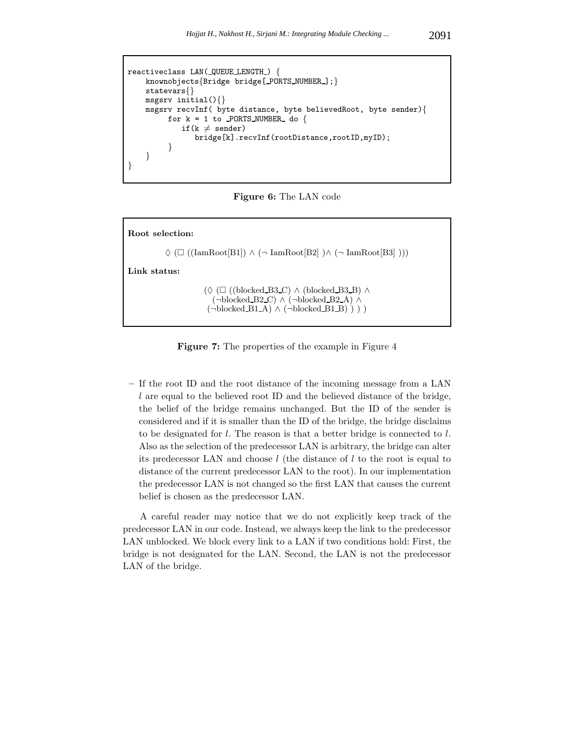```
reactiveclass LAN(_QUEUE_LENGTH_) {
    knownobjects{Bridge bridge[ PORTS NUMBER ];}
    statevars{}
    msgsrv initial(){}
    msgsrv recvInf( byte distance, byte believedRoot, byte sender){
          for k = 1 to PORTS NUMBER do {
              \text{if}(\text{k} \, \neq \, \text{sender})bridge[k].recvInf(rootDistance,rootID,myID);
          }
    }
}
```
**Figure 6:** The LAN code

| Root selection:                                                                                                                                                                                                                       |
|---------------------------------------------------------------------------------------------------------------------------------------------------------------------------------------------------------------------------------------|
| $\Diamond$ ( $\Box$ ((IamRoot[B1]) $\land$ ( $\neg$ IamRoot[B2] ) $\land$ ( $\neg$ IamRoot[B3] )))                                                                                                                                    |
| Link status:                                                                                                                                                                                                                          |
| $(\Diamond (\Box ((\text{blocked } B3 \text{ }\mathbb{C}) \land (\text{blocked } B3 \text{ }\mathbb{B}) \land$<br>$(\neg blocked\_B2_C) \wedge (\neg blocked\_B2_A) \wedge$<br>$(\neg blocked\_B1_A) \wedge (\neg blocked\_B1_B) ) )$ |

**Figure 7:** The properties of the example in Figure 4

**–** If the root ID and the root distance of the incoming message from a LAN l are equal to the believed root ID and the believed distance of the bridge, the belief of the bridge remains unchanged. But the ID of the sender is considered and if it is smaller than the ID of the bridge, the bridge disclaims to be designated for l. The reason is that a better bridge is connected to l. Also as the selection of the predecessor LAN is arbitrary, the bridge can alter its predecessor LAN and choose  $l$  (the distance of  $l$  to the root is equal to distance of the current predecessor LAN to the root). In our implementation the predecessor LAN is not changed so the first LAN that causes the current belief is chosen as the predecessor LAN.

A careful reader may notice that we do not explicitly keep track of the predecessor LAN in our code. Instead, we always keep the link to the predecessor LAN unblocked. We block every link to a LAN if two conditions hold: First, the bridge is not designated for the LAN. Second, the LAN is not the predecessor LAN of the bridge.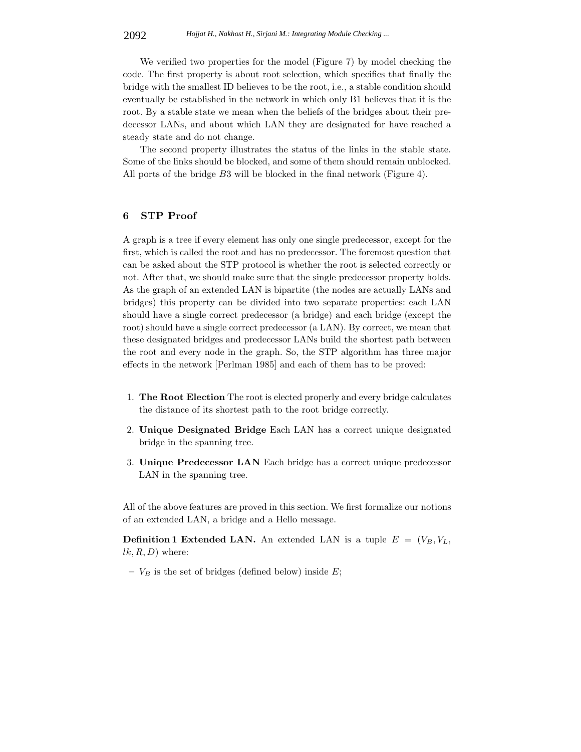We verified two properties for the model (Figure 7) by model checking the code. The first property is about root selection, which specifies that finally the bridge with the smallest ID believes to be the root, i.e., a stable condition should eventually be established in the network in which only B1 believes that it is the root. By a stable state we mean when the beliefs of the bridges about their predecessor LANs, and about which LAN they are designated for have reached a steady state and do not change.

The second property illustrates the status of the links in the stable state. Some of the links should be blocked, and some of them should remain unblocked. All ports of the bridge B3 will be blocked in the final network (Figure 4).

# **6 STP Proof**

A graph is a tree if every element has only one single predecessor, except for the first, which is called the root and has no predecessor. The foremost question that can be asked about the STP protocol is whether the root is selected correctly or not. After that, we should make sure that the single predecessor property holds. As the graph of an extended LAN is bipartite (the nodes are actually LANs and bridges) this property can be divided into two separate properties: each LAN should have a single correct predecessor (a bridge) and each bridge (except the root) should have a single correct predecessor (a LAN). By correct, we mean that these designated bridges and predecessor LANs build the shortest path between the root and every node in the graph. So, the STP algorithm has three major effects in the network [Perlman 1985] and each of them has to be proved:

- 1. **The Root Election** The root is elected properly and every bridge calculates the distance of its shortest path to the root bridge correctly.
- 2. **Unique Designated Bridge** Each LAN has a correct unique designated bridge in the spanning tree.
- 3. **Unique Predecessor LAN** Each bridge has a correct unique predecessor LAN in the spanning tree.

All of the above features are proved in this section. We first formalize our notions of an extended LAN, a bridge and a Hello message.

**Definition 1 Extended LAN.** An extended LAN is a tuple  $E = (V_B, V_L, V_R)$  $lk, R, D$  where:

 $-V_B$  is the set of bridges (defined below) inside E;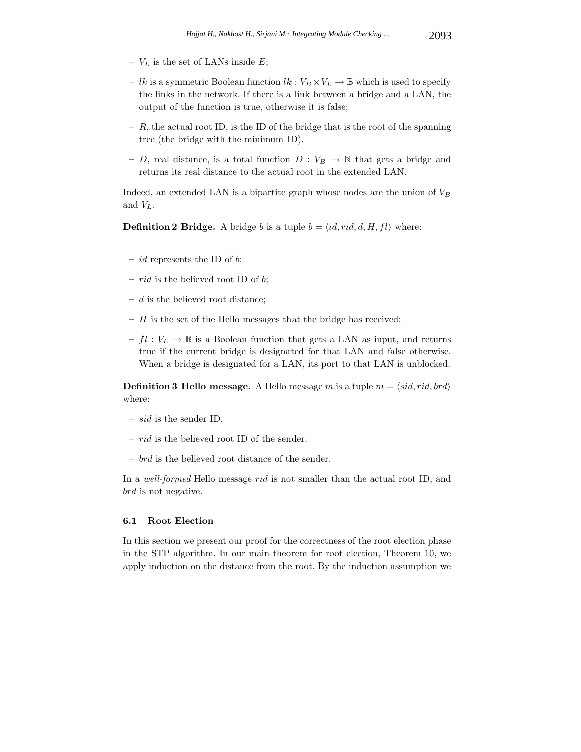- **–** V*<sup>L</sup>* is the set of LANs inside E;
- *lk* is a symmetric Boolean function  $lk : V_B \times V_L \to \mathbb{B}$  which is used to specify the links in the network. If there is a link between a bridge and a LAN, the output of the function is true, otherwise it is false;
- **–** R, the actual root ID, is the ID of the bridge that is the root of the spanning tree (the bridge with the minimum ID).
- D, real distance, is a total function  $D: V_B \to \mathbb{N}$  that gets a bridge and returns its real distance to the actual root in the extended LAN.

Indeed, an extended LAN is a bipartite graph whose nodes are the union of V*<sup>B</sup>* and V*L*.

**Definition 2 Bridge.** A bridge b is a tuple  $b = \langle id, rid, d, H, fl \rangle$  where:

- **–** id represents the ID of b;
- **–** rid is the believed root ID of b;
- **–** d is the believed root distance;
- **–** H is the set of the Hello messages that the bridge has received;
- $f \cdot V_L \to \mathbb{B}$  is a Boolean function that gets a LAN as input, and returns true if the current bridge is designated for that LAN and false otherwise. When a bridge is designated for a LAN, its port to that LAN is unblocked.

**Definition 3 Hello message.** A Hello message m is a tuple  $m = \langle sid, rid, brd \rangle$ where:

- **–** sid is the sender ID.
- **–** rid is the believed root ID of the sender.
- **–** brd is the believed root distance of the sender.

In a *well-formed* Hello message rid is not smaller than the actual root ID, and brd is not negative.

### **6.1 Root Election**

In this section we present our proof for the correctness of the root election phase in the STP algorithm. In our main theorem for root election, Theorem 10, we apply induction on the distance from the root. By the induction assumption we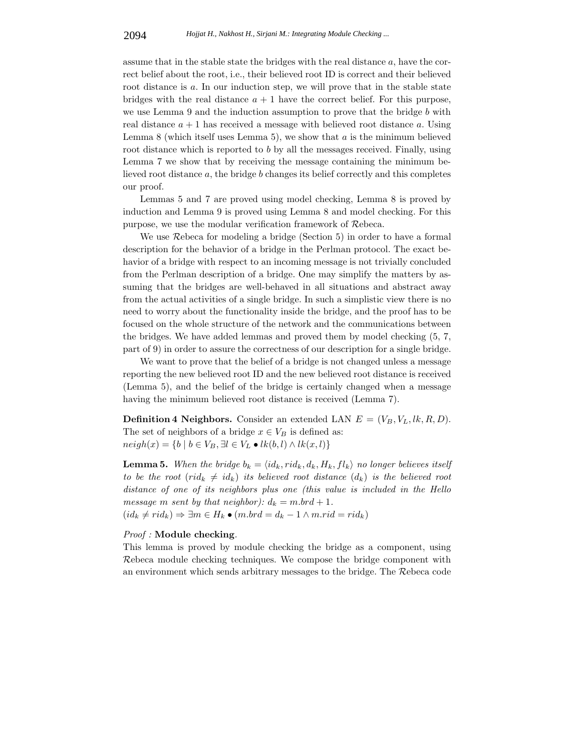assume that in the stable state the bridges with the real distance a, have the correct belief about the root, i.e., their believed root ID is correct and their believed root distance is a. In our induction step, we will prove that in the stable state bridges with the real distance  $a + 1$  have the correct belief. For this purpose, we use Lemma 9 and the induction assumption to prove that the bridge  $b$  with real distance  $a + 1$  has received a message with believed root distance a. Using Lemma 8 (which itself uses Lemma 5), we show that  $a$  is the minimum believed root distance which is reported to b by all the messages received. Finally, using Lemma 7 we show that by receiving the message containing the minimum believed root distance a, the bridge b changes its belief correctly and this completes our proof.

Lemmas 5 and 7 are proved using model checking, Lemma 8 is proved by induction and Lemma 9 is proved using Lemma 8 and model checking. For this purpose, we use the modular verification framework of Rebeca.

We use Rebeca for modeling a bridge (Section 5) in order to have a formal description for the behavior of a bridge in the Perlman protocol. The exact behavior of a bridge with respect to an incoming message is not trivially concluded from the Perlman description of a bridge. One may simplify the matters by assuming that the bridges are well-behaved in all situations and abstract away from the actual activities of a single bridge. In such a simplistic view there is no need to worry about the functionality inside the bridge, and the proof has to be focused on the whole structure of the network and the communications between the bridges. We have added lemmas and proved them by model checking (5, 7, part of 9) in order to assure the correctness of our description for a single bridge.

We want to prove that the belief of a bridge is not changed unless a message reporting the new believed root ID and the new believed root distance is received (Lemma 5), and the belief of the bridge is certainly changed when a message having the minimum believed root distance is received (Lemma 7).

**Definition 4 Neighbors.** Consider an extended LAN  $E = (V_B, V_L, lk, R, D)$ . The set of neighbors of a bridge  $x \in V_B$  is defined as:  $neigh(x) = \{b \mid b \in V_B, \exists l \in V_L \bullet lk(b, l) \land lk(x, l)\}$ 

**Lemma 5.** When the bridge  $b_k = \langle id_k, rid_k, d_k, H_k, fl_k \rangle$  no longer believes itself *to be the root* (rid<sub>k</sub>  $\neq id_k$ ) *its believed root distance*  $(d_k)$  *is the believed root distance of one of its neighbors plus one (this value is included in the Hello message* m *sent by that neighbor*):  $d_k = m . b r d + 1$ .

 $(id_k \neq rid_k) \Rightarrow \exists m \in H_k \bullet (m.brd = d_k - 1 \land m.rid = rid_k)$ 

### *Proof :* **Module checking***.*

This lemma is proved by module checking the bridge as a component, using Rebeca module checking techniques. We compose the bridge component with an environment which sends arbitrary messages to the bridge. The Rebeca code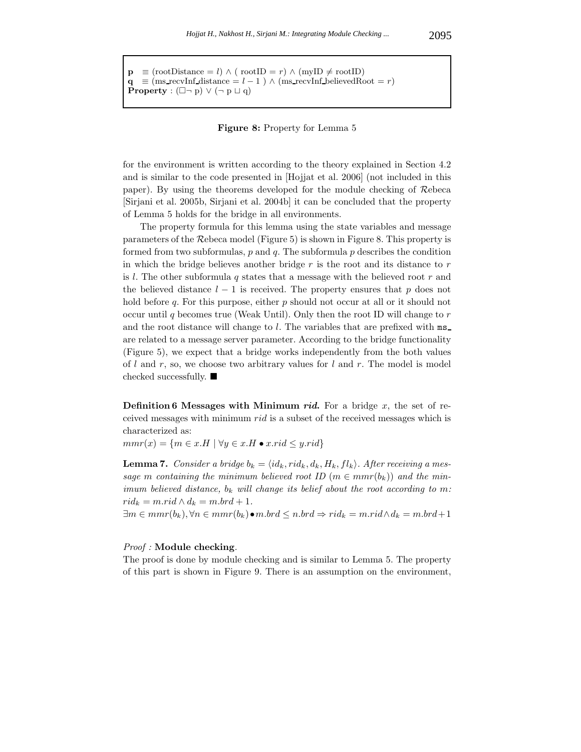$\mathbf{p} \equiv (\text{rootDistance} = l) \land (\text{rootID} = r) \land (\text{myID} \neq \text{rootID})$  $q \equiv$  (ms recvInf distance = *l* − 1 )  $\land$  (ms recvInf believedRoot = *r*) **Property** :  $(\Box \neg p) \lor (\neg p \sqcup q)$ 

#### **Figure 8:** Property for Lemma 5

for the environment is written according to the theory explained in Section 4.2 and is similar to the code presented in [Hojjat et al. 2006] (not included in this paper). By using the theorems developed for the module checking of Rebeca [Sirjani et al. 2005b, Sirjani et al. 2004b] it can be concluded that the property of Lemma 5 holds for the bridge in all environments.

The property formula for this lemma using the state variables and message parameters of the Rebeca model (Figure 5) is shown in Figure 8. This property is formed from two subformulas,  $p$  and  $q$ . The subformula  $p$  describes the condition in which the bridge believes another bridge  $r$  is the root and its distance to  $r$ is  $l$ . The other subformula  $q$  states that a message with the believed root  $r$  and the believed distance  $l-1$  is received. The property ensures that p does not hold before  $q$ . For this purpose, either  $p$  should not occur at all or it should not occur until q becomes true (Weak Until). Only then the root ID will change to  $r$ and the root distance will change to  $l$ . The variables that are prefixed with  $ms$ are related to a message server parameter. According to the bridge functionality (Figure 5), we expect that a bridge works independently from the both values of  $l$  and  $r$ , so, we choose two arbitrary values for  $l$  and  $r$ . The model is model checked successfully.

**Definition 6 Messages with Minimum** *rid*. For a bridge x, the set of received messages with minimum rid is a subset of the received messages which is characterized as:

 $mmr(x) = \{m \in x.H \mid \forall y \in x.H \bullet x.rid \leq y.rid\}$ 

**Lemma 7.** *Consider a bridge*  $b_k = \langle id_k, rid_k, d_k, H_k, fl_k \rangle$ . *After receiving a mes*sage m containing the minimum believed root ID ( $m \in mmr(b_k)$ ) and the min*imum believed distance,* b*<sup>k</sup> will change its belief about the root according to* m*:*  $rid_k = m.rid \wedge d_k = m.brd + 1.$ 

∃m ∈ mmr(b*k*), ∀n ∈ mmr(b*k*)•m.brd ≤ n.brd ⇒ rid*<sup>k</sup>* = m.rid∧d*<sup>k</sup>* = m.brd+ 1

### *Proof :* **Module checking***.*

The proof is done by module checking and is similar to Lemma 5. The property of this part is shown in Figure 9. There is an assumption on the environment,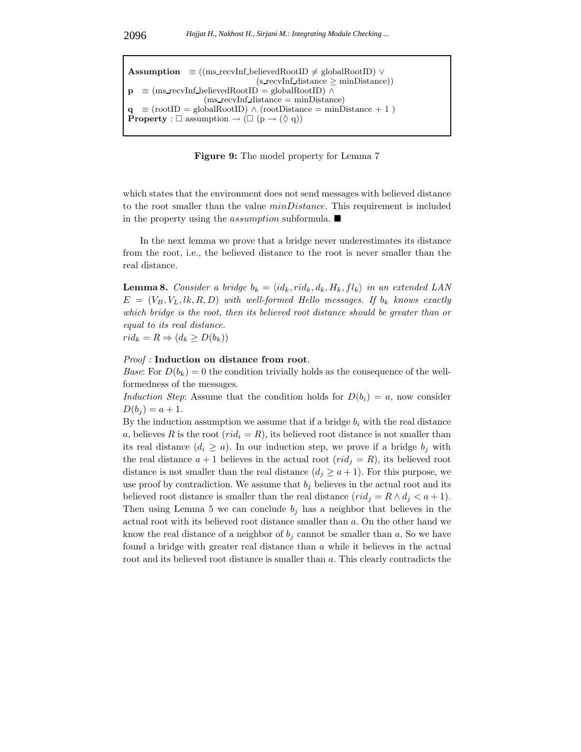$\text{Assumption} \equiv ((\text{ms\_recvInf\_believedRootID} \neq \text{globalRootID}) \vee$  $(s$  recvInf distance  $\geq$  minDistance))  $\equiv$  (ms\_recvInf\_believedRootID) = globalRootID) ∧  $(ms$  recvInf distance  $= minDistance)$  $\equiv$  (rootID = globalRootID)  $\land$  (rootDistance = minDistance + 1) **Property** :  $\square$  assumption  $\rightarrow (\square (p \rightarrow (\lozenge q))$ 

**Figure 9:** The model property for Lemma 7

which states that the environment does not send messages with believed distance to the root smaller than the value *minDistance*. This requirement is included in the property using the *assumption* subformula.  $\blacksquare$ 

In the next lemma we prove that a bridge never underestimates its distance from the root, i.e., the believed distance to the root is never smaller than the real distance.

**Lemma 8.** *Consider a bridge*  $b_k = \langle id_k, rid_k, d_k, H_k, fl_k \rangle$  *in an extended LAN*  $E = (V_B, V_L, lk, R, D)$  with well-formed Hello messages. If  $b_k$  knows exactly *which bridge is the root, then its believed root distance should be greater than or equal to its real distance.*  $rid_k = R \Rightarrow (d_k \geq D(b_k))$ 

#### *Proof :* **Induction on distance from root***.*

*Base*: For  $D(b_k) = 0$  the condition trivially holds as the consequence of the wellformedness of the messages.

*Induction Step*: Assume that the condition holds for  $D(b_i) = a$ , now consider  $D(b_i) = a + 1.$ 

By the induction assumption we assume that if a bridge  $b_i$  with the real distance a, believes R is the root  $(\text{rid}_i = R)$ , its believed root distance is not smaller than its real distance  $(d_i \ge a)$ . In our induction step, we prove if a bridge  $b_j$  with the real distance  $a + 1$  believes in the actual root  $(\text{rid}_j = R)$ , its believed root distance is not smaller than the real distance  $(d_j \ge a+1)$ . For this purpose, we use proof by contradiction. We assume that  $b_j$  believes in the actual root and its believed root distance is smaller than the real distance  $(rid_j = R \wedge d_j < a + 1)$ . Then using Lemma 5 we can conclude  $b_i$  has a neighbor that believes in the actual root with its believed root distance smaller than a. On the other hand we know the real distance of a neighbor of  $b_j$  cannot be smaller than  $a$ . So we have found a bridge with greater real distance than a while it believes in the actual root and its believed root distance is smaller than a. This clearly contradicts the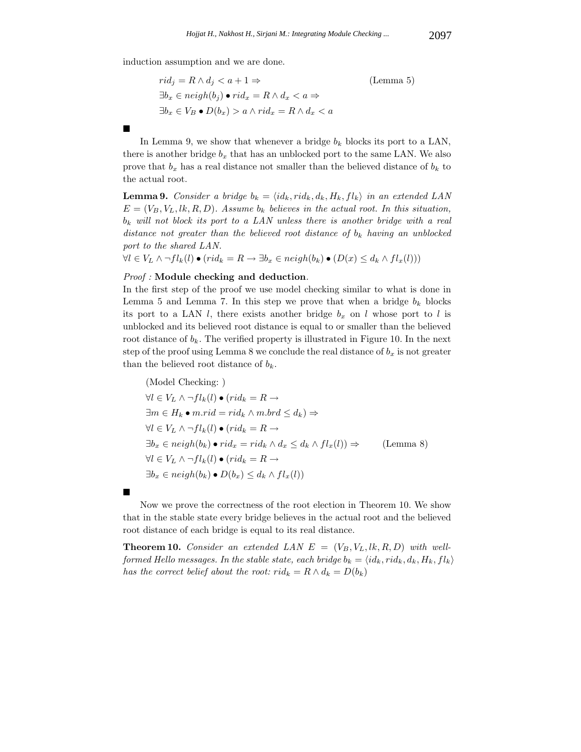induction assumption and we are done.

$$
rid_j = R \land d_j < a + 1 \Rightarrow \qquad \qquad \text{(Lemma 5)}
$$
\n
$$
\exists b_x \in \text{neigh}(b_j) \bullet \text{rid}_x = R \land d_x < a \Rightarrow \qquad \qquad \exists b_x \in V_B \bullet D(b_x) > a \land \text{rid}_x = R \land d_x < a
$$

In Lemma 9, we show that whenever a bridge  $b_k$  blocks its port to a LAN, there is another bridge  $b_x$  that has an unblocked port to the same LAN. We also prove that  $b_x$  has a real distance not smaller than the believed distance of  $b_k$  to the actual root.

**Lemma 9.** *Consider a bridge*  $b_k = \langle id_k, rid_k, d_k, H_k, fl_k \rangle$  *in an extended LAN*  $E = (V_B, V_L, lk, R, D)$ . Assume  $b_k$  believes in the actual root. In this situation, b*<sup>k</sup> will not block its port to a LAN unless there is another bridge with a real distance not greater than the believed root distance of* b*<sup>k</sup> having an unblocked port to the shared LAN.*

∀l ∈ V*<sup>L</sup>* ∧ ¬fl*k*(l) • (rid*<sup>k</sup>* = R → ∃b*<sup>x</sup>* ∈ neigh(b*k*) • (D(x) ≤ d*<sup>k</sup>* ∧ fl*x*(l)))

### *Proof :* **Module checking and deduction***.*

In the first step of the proof we use model checking similar to what is done in Lemma 5 and Lemma 7. In this step we prove that when a bridge  $b_k$  blocks its port to a LAN  $l$ , there exists another bridge  $b_x$  on  $l$  whose port to  $l$  is unblocked and its believed root distance is equal to or smaller than the believed root distance of  $b_k$ . The verified property is illustrated in Figure 10. In the next step of the proof using Lemma 8 we conclude the real distance of  $b_x$  is not greater than the believed root distance of  $b_k$ .

(Model Checking: )  $\forall l \in V_L \land \neg fl_k(l) \bullet (rid_k = R \rightarrow$ ∃m ∈ H*<sup>k</sup>* • m.rid = rid*<sup>k</sup>* ∧ m.brd ≤ d*k*) ⇒ ∀l ∈ V*<sup>L</sup>* ∧ ¬fl*k*(l) • (rid*<sup>k</sup>* = R →  $\exists b_x \in \text{neigh}(b_k) \bullet \text{rid}_x = \text{rid}_k \land d_x \leq d_k \land fl_x(l) \Rightarrow$  (Lemma 8) ∀l ∈ V*<sup>L</sup>* ∧ ¬fl*k*(l) • (rid*<sup>k</sup>* = R →  $\exists b_x \in \text{neigh}(b_k) \bullet D(b_x) \leq d_k \wedge fl_x(l)$ 

Now we prove the correctness of the root election in Theorem 10. We show that in the stable state every bridge believes in the actual root and the believed root distance of each bridge is equal to its real distance.

**Theorem 10.** *Consider an extended LAN*  $E = (V_B, V_L, lk, R, D)$  *with well* $f \circ r$  *formed Hello messages. In the stable state, each bridge*  $b_k = \langle id_k, rid_k, d_k, H_k, fl_k \rangle$ *has the correct belief about the root:*  $rid_k = R \wedge d_k = D(b_k)$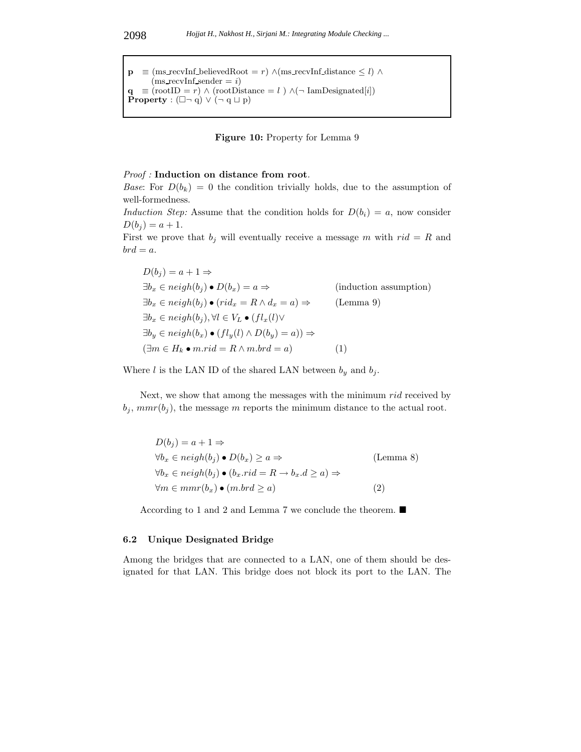$\mathbf{p}$  ≡ (ms\_recvInf\_believedRoot = *r*)  $\wedge$ (ms\_recvInf\_distance  $\leq l$ )  $\wedge$  $(ms$  recvInf sender  $= i$ )  $\mathbf{q} \equiv (\text{rootID} = r) \wedge (\text{rootDistance} = l) \wedge (\neg \text{IamDesignated}[i])$ **Property** :  $(\Box \neg q) \lor (\neg q \sqcup p)$ 

#### **Figure 10:** Property for Lemma 9

#### *Proof :* **Induction on distance from root***.*

*Base*: For  $D(b_k) = 0$  the condition trivially holds, due to the assumption of well-formedness.

*Induction Step:* Assume that the condition holds for  $D(b_i) = a$ , now consider  $D(b_i) = a + 1.$ 

First we prove that  $b_j$  will eventually receive a message m with  $rid = R$  and  $brd = a.$ 

$$
D(b_j) = a + 1 \Rightarrow
$$
  
\n
$$
\exists b_x \in neigh(b_j) \bullet D(b_x) = a \Rightarrow
$$
 (induction assumption)  
\n
$$
\exists b_x \in neigh(b_j) \bullet (rid_x = R \land d_x = a) \Rightarrow
$$
 (Lemma 9)  
\n
$$
\exists b_x \in neigh(b_j), \forall l \in V_L \bullet (fl_x(l) \lor
$$
  
\n
$$
\exists b_y \in neigh(b_x) \bullet (fl_y(l) \land D(b_y) = a)) \Rightarrow
$$
  
\n
$$
(\exists m \in H_k \bullet m.rid = R \land m.brd = a)
$$
 (1)

Where *l* is the LAN ID of the shared LAN between  $b_y$  and  $b_j$ .

Next, we show that among the messages with the minimum rid received by  $b_j$ ,  $mmr(b_j)$ , the message m reports the minimum distance to the actual root.

| $D(b_i) = a + 1 \Rightarrow$                                                                                 |           |
|--------------------------------------------------------------------------------------------------------------|-----------|
| $\forall b_x \in \mathit{neigh}(b_i) \bullet D(b_x) \geq a \Rightarrow$                                      | (Lemma 8) |
| $\forall b_x \in \mathit{neigh}(b_i) \bullet (b_x \cdot rid = R \rightarrow b_x \cdot d \geq a) \Rightarrow$ |           |
| $\forall m \in mnr(b_x) \bullet (m.brd \geq a)$                                                              | (2)       |

According to 1 and 2 and Lemma 7 we conclude the theorem.

### **6.2 Unique Designated Bridge**

Among the bridges that are connected to a LAN, one of them should be designated for that LAN. This bridge does not block its port to the LAN. The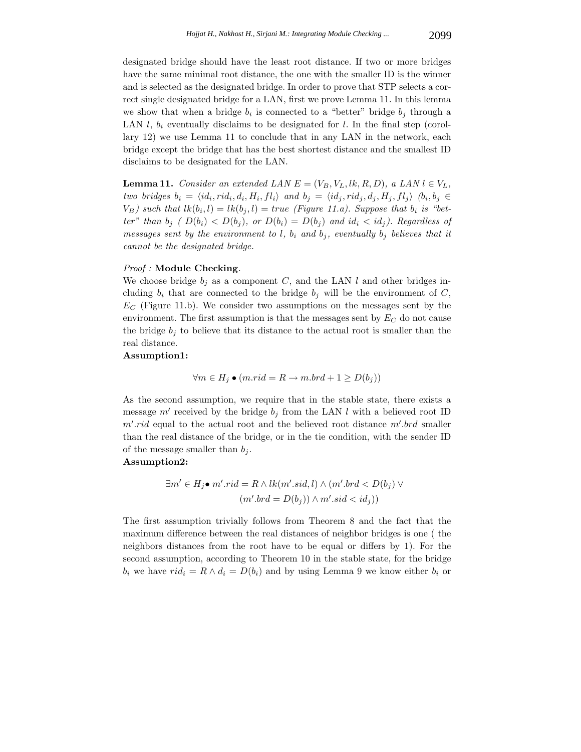designated bridge should have the least root distance. If two or more bridges have the same minimal root distance, the one with the smaller ID is the winner and is selected as the designated bridge. In order to prove that STP selects a correct single designated bridge for a LAN, first we prove Lemma 11. In this lemma we show that when a bridge  $b_i$  is connected to a "better" bridge  $b_j$  through a LAN  $l, b_i$  eventually disclaims to be designated for  $l$ . In the final step (corollary 12) we use Lemma 11 to conclude that in any LAN in the network, each bridge except the bridge that has the best shortest distance and the smallest ID disclaims to be designated for the LAN.

**Lemma 11.** *Consider an extended LAN*  $E = (V_B, V_L, lk, R, D)$ *, a LAN*  $l \in V_L$ *,*  $t_{w}$  bridges  $b_i = \langle id_i, rid_i, d_i, H_i, fl_i \rangle$  and  $b_j = \langle id_j, rid_j, d_j, H_j, fl_j \rangle$   $(b_i, b_j \in I_j)$  $V_B$ ) such that  $lk(b_i, l) = lk(b_i, l) = true$  (Figure 11.a). Suppose that  $b_i$  is "bet*ter*" *than*  $b_j$  ( $D(b_i) < D(b_j)$ , or  $D(b_i) = D(b_j)$  *and*  $id_i < id_j$ ). Regardless of *messages sent by the environment to*  $l$ ,  $b_i$  *and*  $b_j$ , *eventually*  $b_j$  *believes that it cannot be the designated bridge.*

### *Proof :* **Module Checking***.*

We choose bridge  $b_j$  as a component C, and the LAN l and other bridges including  $b_i$  that are connected to the bridge  $b_j$  will be the environment of C,  $E_C$  (Figure 11.b). We consider two assumptions on the messages sent by the environment. The first assumption is that the messages sent by E*<sup>C</sup>* do not cause the bridge  $b_j$  to believe that its distance to the actual root is smaller than the real distance.

# **Assumption1:**

$$
\forall m \in H_j \bullet (m.rid = R \rightarrow m.brd + 1 \ge D(b_j))
$$

As the second assumption, we require that in the stable state, there exists a message  $m'$  received by the bridge  $b_j$  from the LAN l with a believed root ID  $m'.rid$  equal to the actual root and the believed root distance  $m'.brd$  smaller than the real distance of the bridge, or in the tie condition, with the sender ID of the message smaller than  $b_i$ .

#### **Assumption2:**

$$
\exists m' \in H_j \bullet m'.rid = R \land lk(m'.sid, l) \land (m'.brd < D(b_j) \lor (m'.brd < D(b_j))
$$

The first assumption trivially follows from Theorem 8 and the fact that the maximum difference between the real distances of neighbor bridges is one ( the neighbors distances from the root have to be equal or differs by 1). For the second assumption, according to Theorem 10 in the stable state, for the bridge  $b_i$  we have  $rid_i = R \wedge d_i = D(b_i)$  and by using Lemma 9 we know either  $b_i$  or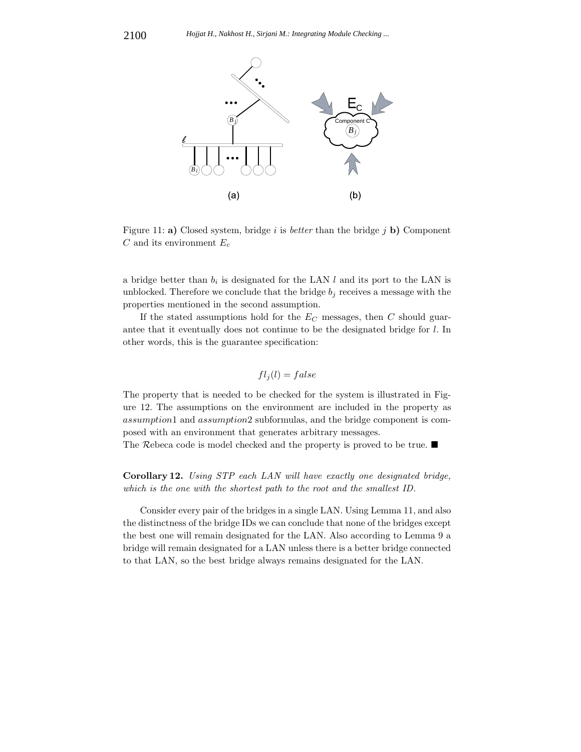

Figure 11: **a**) Closed system, bridge i is *better* than the bridge j **b**) Component C and its environment E*<sup>c</sup>*

a bridge better than  $b_i$  is designated for the LAN  $l$  and its port to the LAN is unblocked. Therefore we conclude that the bridge  $b_j$  receives a message with the properties mentioned in the second assumption.

If the stated assumptions hold for the E*<sup>C</sup>* messages, then C should guarantee that it eventually does not continue to be the designated bridge for l. In other words, this is the guarantee specification:

$$
fl_j(l) = false
$$

The property that is needed to be checked for the system is illustrated in Figure 12. The assumptions on the environment are included in the property as assumption1 and assumption2 subformulas, and the bridge component is composed with an environment that generates arbitrary messages.

The Rebeca code is model checked and the property is proved to be true.

**Corollary 12.** *Using STP each LAN will have exactly one designated bridge, which is the one with the shortest path to the root and the smallest ID.*

Consider every pair of the bridges in a single LAN. Using Lemma 11, and also the distinctness of the bridge IDs we can conclude that none of the bridges except the best one will remain designated for the LAN. Also according to Lemma 9 a bridge will remain designated for a LAN unless there is a better bridge connected to that LAN, so the best bridge always remains designated for the LAN.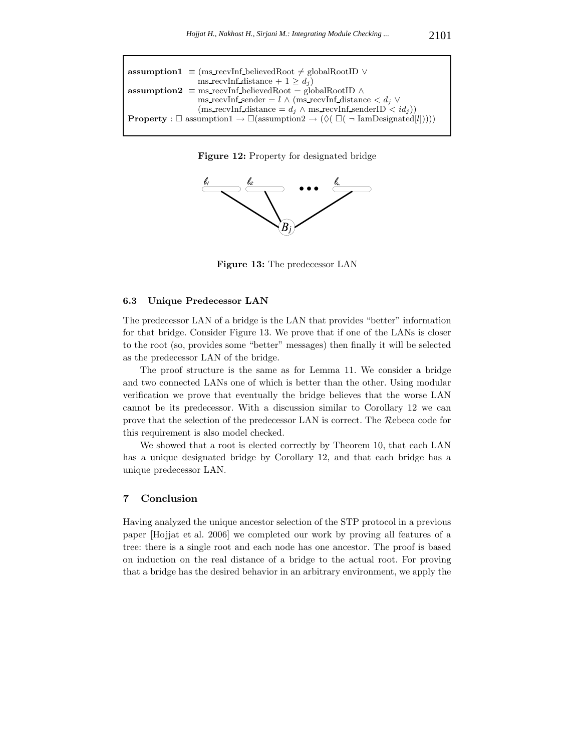| <b>assumption1</b> $\equiv$ (ms_recvInf_believedRoot $\neq$ globalRootID $\vee$                                                                           |  |
|-----------------------------------------------------------------------------------------------------------------------------------------------------------|--|
| ms recyInf distance + $1 > d_i$ )                                                                                                                         |  |
| <b>assumption2</b> $\equiv$ ms recvInf believed Root $=$ global RootID $\land$                                                                            |  |
| ms recvInf sender = $l \wedge$ (ms recvInf distance < $d_i \vee$                                                                                          |  |
| $(\text{ms\_recvInf\_distance} = d_j \wedge \text{ms\_recvInf\_senderID} < id_j))$                                                                        |  |
| <b>Property</b> : $\square$ assumption $1 \rightarrow \square$ (assumption $2 \rightarrow (\lozenge \square (\square \square \text{1amDesignated}[l]))))$ |  |





**Figure 13:** The predecessor LAN

### **6.3 Unique Predecessor LAN**

The predecessor LAN of a bridge is the LAN that provides "better" information for that bridge. Consider Figure 13. We prove that if one of the LANs is closer to the root (so, provides some "better" messages) then finally it will be selected as the predecessor LAN of the bridge.

The proof structure is the same as for Lemma 11. We consider a bridge and two connected LANs one of which is better than the other. Using modular verification we prove that eventually the bridge believes that the worse LAN cannot be its predecessor. With a discussion similar to Corollary 12 we can prove that the selection of the predecessor LAN is correct. The Rebeca code for this requirement is also model checked.

We showed that a root is elected correctly by Theorem 10, that each LAN has a unique designated bridge by Corollary 12, and that each bridge has a unique predecessor LAN.

# **7 Conclusion**

Having analyzed the unique ancestor selection of the STP protocol in a previous paper [Hojjat et al. 2006] we completed our work by proving all features of a tree: there is a single root and each node has one ancestor. The proof is based on induction on the real distance of a bridge to the actual root. For proving that a bridge has the desired behavior in an arbitrary environment, we apply the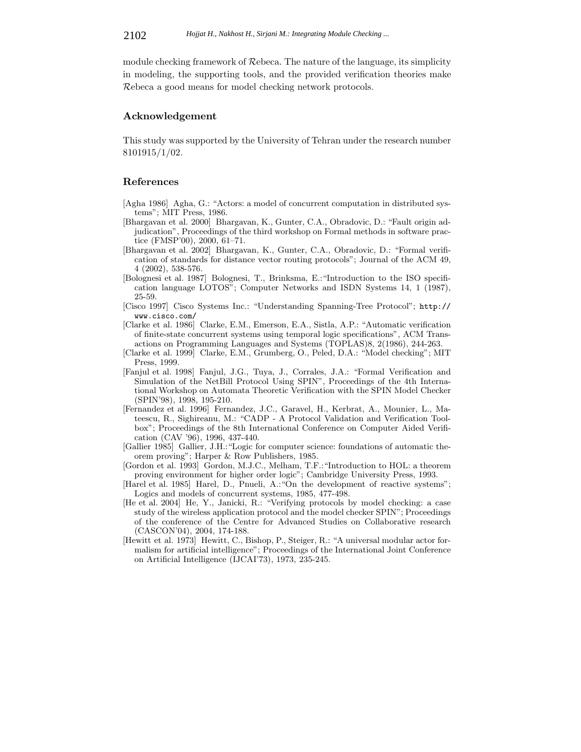module checking framework of Rebeca. The nature of the language, its simplicity in modeling, the supporting tools, and the provided verification theories make Rebeca a good means for model checking network protocols.

## **Acknowledgement**

This study was supported by the University of Tehran under the research number 8101915/1/02.

### **References**

- [Agha 1986] Agha, G.: "Actors: a model of concurrent computation in distributed systems"; MIT Press, 1986.
- [Bhargavan et al. 2000] Bhargavan, K., Gunter, C.A., Obradovic, D.: "Fault origin adjudication", Proceedings of the third workshop on Formal methods in software practice (FMSP'00), 2000, 61–71.
- [Bhargavan et al. 2002] Bhargavan, K., Gunter, C.A., Obradovic, D.: "Formal verification of standards for distance vector routing protocols"; Journal of the ACM 49, 4 (2002), 538-576.
- [Bolognesi et al. 1987] Bolognesi, T., Brinksma, E.:"Introduction to the ISO specification language LOTOS"; Computer Networks and ISDN Systems 14, 1 (1987), 25-59.
- [Cisco 1997] Cisco Systems Inc.: "Understanding Spanning-Tree Protocol"; http:// www.cisco.com/
- [Clarke et al. 1986] Clarke, E.M., Emerson, E.A., Sistla, A.P.: "Automatic verification of finite-state concurrent systems using temporal logic specifications", ACM Transactions on Programming Languages and Systems (TOPLAS)8, 2(1986), 244-263.
- [Clarke et al. 1999] Clarke, E.M., Grumberg, O., Peled, D.A.: "Model checking"; MIT Press, 1999.
- [Fanjul et al. 1998] Fanjul, J.G., Tuya, J., Corrales, J.A.: "Formal Verification and Simulation of the NetBill Protocol Using SPIN", Proceedings of the 4th International Workshop on Automata Theoretic Verification with the SPIN Model Checker (SPIN'98), 1998, 195-210.
- [Fernandez et al. 1996] Fernandez, J.C., Garavel, H., Kerbrat, A., Mounier, L., Mateescu, R., Sighireanu, M.: "CADP - A Protocol Validation and Verification Toolbox"; Proceedings of the 8th International Conference on Computer Aided Verification (CAV '96), 1996, 437-440.
- [Gallier 1985] Gallier, J.H.:"Logic for computer science: foundations of automatic theorem proving"; Harper & Row Publishers, 1985.
- [Gordon et al. 1993] Gordon, M.J.C., Melham, T.F.:"Introduction to HOL: a theorem proving environment for higher order logic"; Cambridge University Press, 1993.
- [Harel et al. 1985] Harel, D., Pnueli, A.: "On the development of reactive systems"; Logics and models of concurrent systems, 1985, 477-498.
- [He et al. 2004] He, Y., Janicki, R.: "Verifying protocols by model checking: a case study of the wireless application protocol and the model checker SPIN"; Proceedings of the conference of the Centre for Advanced Studies on Collaborative research (CASCON'04), 2004, 174-188.
- [Hewitt et al. 1973] Hewitt, C., Bishop, P., Steiger, R.: "A universal modular actor formalism for artificial intelligence"; Proceedings of the International Joint Conference on Artificial Intelligence (IJCAI'73), 1973, 235-245.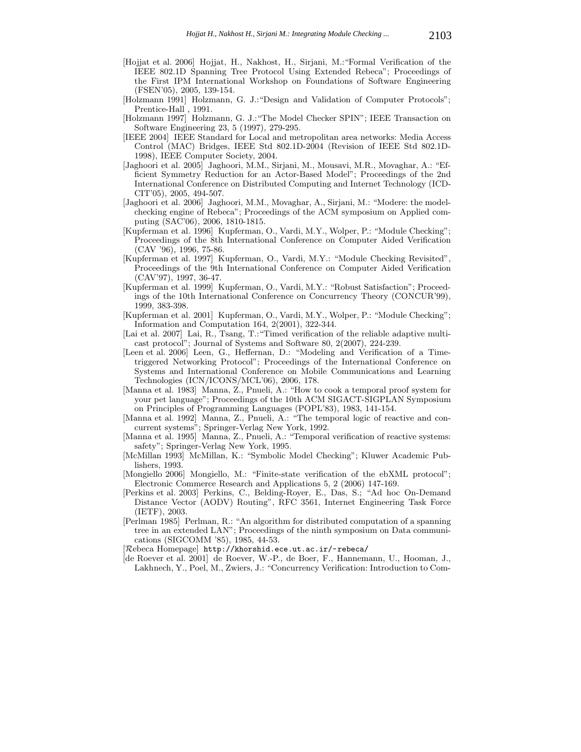- [Hojjat et al. 2006] Hojjat, H., Nakhost, H., Sirjani, M.:"Formal Verification of the IEEE 802.1D Spanning Tree Protocol Using Extended Rebeca"; Proceedings of the First IPM International Workshop on Foundations of Software Engineering (FSEN'05), 2005, 139-154.
- [Holzmann 1991] Holzmann, G. J.:"Design and Validation of Computer Protocols"; Prentice-Hall , 1991.
- [Holzmann 1997] Holzmann, G. J.:"The Model Checker SPIN"; IEEE Transaction on Software Engineering 23, 5 (1997), 279-295.
- [IEEE 2004] IEEE Standard for Local and metropolitan area networks: Media Access Control (MAC) Bridges, IEEE Std 802.1D-2004 (Revision of IEEE Std 802.1D-1998), IEEE Computer Society, 2004.
- [Jaghoori et al. 2005] Jaghoori, M.M., Sirjani, M., Mousavi, M.R., Movaghar, A.: "Efficient Symmetry Reduction for an Actor-Based Model"; Proceedings of the 2nd International Conference on Distributed Computing and Internet Technology (ICD-CIT'05), 2005, 494-507.
- [Jaghoori et al. 2006] Jaghoori, M.M., Movaghar, A., Sirjani, M.: "Modere: the modelchecking engine of Rebeca"; Proceedings of the ACM symposium on Applied computing (SAC'06), 2006, 1810-1815.
- [Kupferman et al. 1996] Kupferman, O., Vardi, M.Y., Wolper, P.: "Module Checking"; Proceedings of the 8th International Conference on Computer Aided Verification (CAV '96), 1996, 75-86.
- [Kupferman et al. 1997] Kupferman, O., Vardi, M.Y.: "Module Checking Revisited", Proceedings of the 9th International Conference on Computer Aided Verification (CAV'97), 1997, 36-47.
- [Kupferman et al. 1999] Kupferman, O., Vardi, M.Y.: "Robust Satisfaction"; Proceedings of the 10th International Conference on Concurrency Theory (CONCUR'99), 1999, 383-398.
- [Kupferman et al. 2001] Kupferman, O., Vardi, M.Y., Wolper, P.: "Module Checking"; Information and Computation 164, 2(2001), 322-344.
- [Lai et al. 2007] Lai, R., Tsang, T.: "Timed verification of the reliable adaptive multicast protocol"; Journal of Systems and Software 80, 2(2007), 224-239.
- [Leen et al. 2006] Leen, G., Heffernan, D.: "Modeling and Verification of a Timetriggered Networking Protocol"; Proceedings of the International Conference on Systems and International Conference on Mobile Communications and Learning Technologies (ICN/ICONS/MCL'06), 2006, 178.
- [Manna et al. 1983] Manna, Z., Pnueli, A.: "How to cook a temporal proof system for your pet language"; Proceedings of the 10th ACM SIGACT-SIGPLAN Symposium on Principles of Programming Languages (POPL'83), 1983, 141-154.
- [Manna et al. 1992] Manna, Z., Pnueli, A.: "The temporal logic of reactive and concurrent systems"; Springer-Verlag New York, 1992.
- [Manna et al. 1995] Manna, Z., Pnueli, A.: "Temporal verification of reactive systems: safety"; Springer-Verlag New York, 1995.
- [McMillan 1993] McMillan, K.: "Symbolic Model Checking"; Kluwer Academic Publishers, 1993.
- [Mongiello 2006] Mongiello, M.: "Finite-state verification of the ebXML protocol"; Electronic Commerce Research and Applications 5, 2 (2006) 147-169.
- [Perkins et al. 2003] Perkins, C., Belding-Royer, E., Das, S.; "Ad hoc On-Demand Distance Vector (AODV) Routing", RFC 3561, Internet Engineering Task Force (IETF), 2003.
- [Perlman 1985] Perlman, R.: "An algorithm for distributed computation of a spanning tree in an extended LAN"; Proceedings of the ninth symposium on Data communications (SIGCOMM '85), 1985, 44-53.
- [Rebeca Homepage] http://khorshid.ece.ut.ac.ir/~rebeca/
- [de Roever et al. 2001] de Roever, W.-P., de Boer, F., Hannemann, U., Hooman, J., Lakhnech, Y., Poel, M., Zwiers, J.: "Concurrency Verification: Introduction to Com-